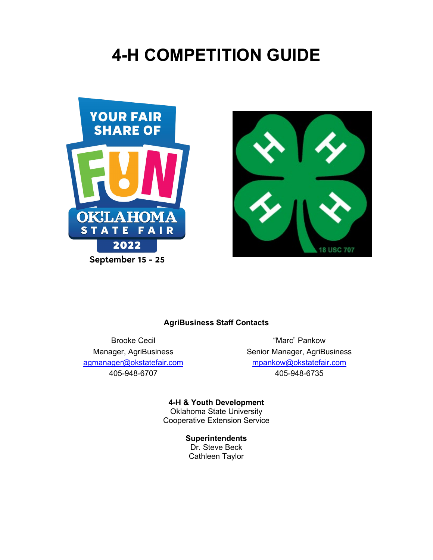# **4-H COMPETITION GUIDE**





### **AgriBusiness Staff Contacts**

Brooke Cecil **Example 20** and the matrice "Marc" Pankow [agmanager@okstatefair.com](mailto:agmanager@okstatefair.com) [mpankow@okstatefair.com](mailto:mpankow@okstatefair.com) 405-948-6707 405-948-6735

Manager, AgriBusiness Senior Manager, AgriBusiness

**4-H & Youth Development** Oklahoma State University Cooperative Extension Service

> **Superintendents** Dr. Steve Beck Cathleen Taylor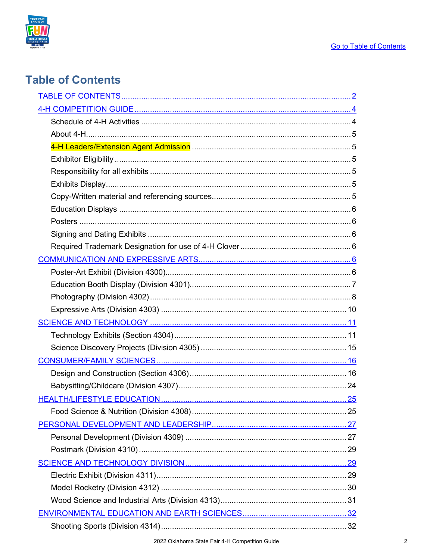

## <span id="page-1-0"></span>**Table of Contents**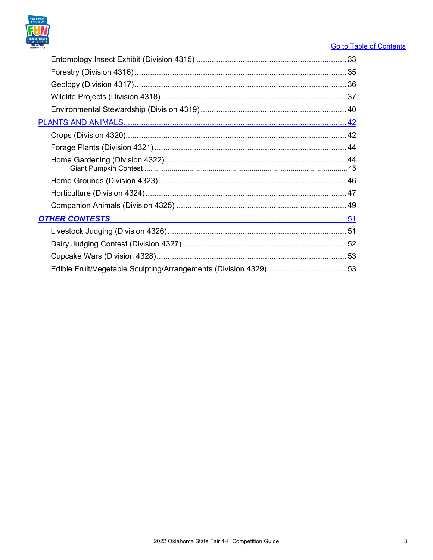

### **Go to Table of Contents**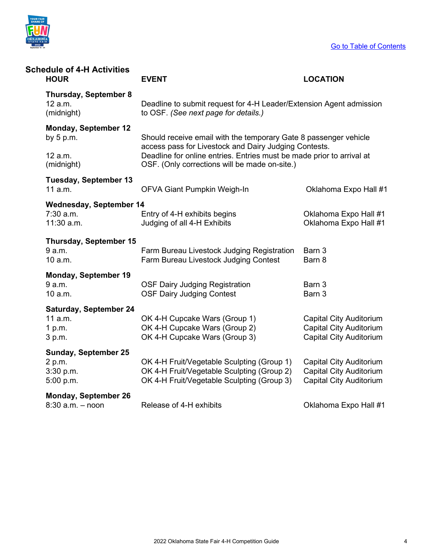

<span id="page-3-1"></span><span id="page-3-0"></span>

| <b>Schedule of 4-H Activities</b><br><b>HOUR</b>      | <b>EVENT</b>                                                                                                           | <b>LOCATION</b>                                                  |  |  |  |  |  |
|-------------------------------------------------------|------------------------------------------------------------------------------------------------------------------------|------------------------------------------------------------------|--|--|--|--|--|
| <b>Thursday, September 8</b><br>12 a.m.<br>(midnight) | Deadline to submit request for 4-H Leader/Extension Agent admission<br>to OSF. (See next page for details.)            |                                                                  |  |  |  |  |  |
| <b>Monday, September 12</b><br>by $5 p.m.$            | access pass for Livestock and Dairy Judging Contests.                                                                  | Should receive email with the temporary Gate 8 passenger vehicle |  |  |  |  |  |
| 12 a.m.<br>(midnight)                                 | Deadline for online entries. Entries must be made prior to arrival at<br>OSF. (Only corrections will be made on-site.) |                                                                  |  |  |  |  |  |
| <b>Tuesday, September 13</b>                          |                                                                                                                        |                                                                  |  |  |  |  |  |
| 11 a.m.                                               | OFVA Giant Pumpkin Weigh-In                                                                                            | Oklahoma Expo Hall #1                                            |  |  |  |  |  |
| <b>Wednesday, September 14</b>                        |                                                                                                                        |                                                                  |  |  |  |  |  |
| 7:30 a.m.                                             | Entry of 4-H exhibits begins                                                                                           | Oklahoma Expo Hall #1                                            |  |  |  |  |  |
| 11:30 a.m.                                            | Judging of all 4-H Exhibits                                                                                            | Oklahoma Expo Hall #1                                            |  |  |  |  |  |
| <b>Thursday, September 15</b>                         |                                                                                                                        |                                                                  |  |  |  |  |  |
| 9 a.m.                                                | Farm Bureau Livestock Judging Registration                                                                             | Barn 3                                                           |  |  |  |  |  |
| 10 a.m.                                               | Farm Bureau Livestock Judging Contest                                                                                  | Barn 8                                                           |  |  |  |  |  |
| <b>Monday, September 19</b>                           |                                                                                                                        |                                                                  |  |  |  |  |  |
| 9 a.m.                                                | <b>OSF Dairy Judging Registration</b>                                                                                  | Barn 3                                                           |  |  |  |  |  |
| 10 a.m.                                               | <b>OSF Dairy Judging Contest</b>                                                                                       | Barn 3                                                           |  |  |  |  |  |
| <b>Saturday, September 24</b>                         |                                                                                                                        |                                                                  |  |  |  |  |  |
| 11 a.m.                                               | OK 4-H Cupcake Wars (Group 1)                                                                                          | <b>Capital City Auditorium</b>                                   |  |  |  |  |  |
| 1 p.m.                                                | OK 4-H Cupcake Wars (Group 2)                                                                                          | <b>Capital City Auditorium</b>                                   |  |  |  |  |  |
| 3 p.m.                                                | OK 4-H Cupcake Wars (Group 3)                                                                                          | <b>Capital City Auditorium</b>                                   |  |  |  |  |  |
| <b>Sunday, September 25</b>                           |                                                                                                                        |                                                                  |  |  |  |  |  |
| 2 p.m.                                                | OK 4-H Fruit/Vegetable Sculpting (Group 1)                                                                             | <b>Capital City Auditorium</b>                                   |  |  |  |  |  |
| 3:30 p.m.                                             | OK 4-H Fruit/Vegetable Sculpting (Group 2)                                                                             | <b>Capital City Auditorium</b>                                   |  |  |  |  |  |
| 5:00 p.m.                                             | OK 4-H Fruit/Vegetable Sculpting (Group 3)                                                                             | <b>Capital City Auditorium</b>                                   |  |  |  |  |  |
| <b>Monday, September 26</b>                           |                                                                                                                        |                                                                  |  |  |  |  |  |
| 8:30 a.m. - noon                                      | Release of 4-H exhibits                                                                                                | Oklahoma Expo Hall #1                                            |  |  |  |  |  |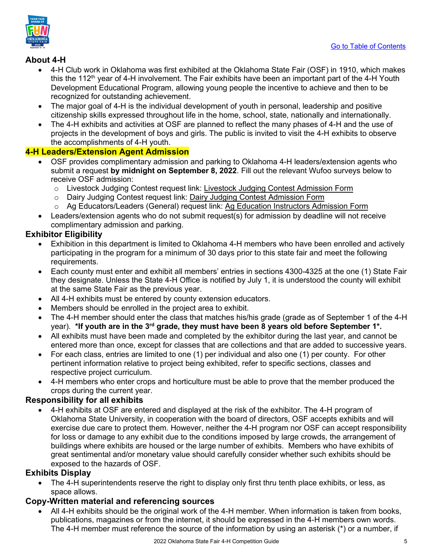

### <span id="page-4-0"></span>**About 4-H**

- 4-H Club work in Oklahoma was first exhibited at the Oklahoma State Fair (OSF) in 1910, which makes this the 112<sup>th</sup> year of 4-H involvement. The Fair exhibits have been an important part of the 4-H Youth Development Educational Program, allowing young people the incentive to achieve and then to be recognized for outstanding achievement.
- The major goal of 4-H is the individual development of youth in personal, leadership and positive citizenship skills expressed throughout life in the home, school, state, nationally and internationally.
- The 4-H exhibits and activities at OSF are planned to reflect the many phases of 4-H and the use of projects in the development of boys and girls. The public is invited to visit the 4-H exhibits to observe the accomplishments of 4-H youth.

### <span id="page-4-1"></span>**4-H Leaders/Extension Agent Admission**

- OSF provides complimentary admission and parking to Oklahoma 4-H leaders/extension agents who submit a request **by midnight on September 8, 2022**. Fill out the relevant Wufoo surveys below to receive OSF admission:
	- o Livestock Judging Contest request link: Livestock Judging Contest Admission Form<br>
	o Dairy Judging Contest request link: Dairy Judging Contest Admission Form
	- Dairy Judging Contest request link: [Dairy Judging Contest Admission Form](https://okstatefair.wufoo.com/forms/z1r7gzbj0vvqbnk/)
	- o Ag Educators/Leaders (General) request link: [Ag Education Instructors Admission Form](https://okstatefair.wufoo.com/forms/z1qnvfvk0l2xl3a/)
- Leaders/extension agents who do not submit request(s) for admission by deadline will not receive complimentary admission and parking.

### <span id="page-4-2"></span>**Exhibitor Eligibility**

- Exhibition in this department is limited to Oklahoma 4-H members who have been enrolled and actively participating in the program for a minimum of 30 days prior to this state fair and meet the following requirements.
- Each county must enter and exhibit all members' entries in sections 4300-4325 at the one (1) State Fair they designate. Unless the State 4-H Office is notified by July 1, it is understood the county will exhibit at the same State Fair as the previous year.
- All 4-H exhibits must be entered by county extension educators.
- Members should be enrolled in the project area to exhibit.
- The 4-H member should enter the class that matches his/his grade (grade as of September 1 of the 4-H year). **\*If youth are in the 3rd grade, they must have been 8 years old before September 1\*.**
- All exhibits must have been made and completed by the exhibitor during the last year, and cannot be entered more than once, except for classes that are collections and that are added to successive years.
- For each class, entries are limited to one (1) per individual and also one (1) per county. For other pertinent information relative to project being exhibited, refer to specific sections, classes and respective project curriculum.
- 4-H members who enter crops and horticulture must be able to prove that the member produced the crops during the current year.

### <span id="page-4-3"></span>**Responsibility for all exhibits**

• 4-H exhibits at OSF are entered and displayed at the risk of the exhibitor. The 4-H program of Oklahoma State University, in cooperation with the board of directors, OSF accepts exhibits and will exercise due care to protect them. However, neither the 4-H program nor OSF can accept responsibility for loss or damage to any exhibit due to the conditions imposed by large crowds, the arrangement of buildings where exhibits are housed or the large number of exhibits. Members who have exhibits of great sentimental and/or monetary value should carefully consider whether such exhibits should be exposed to the hazards of OSF.

### <span id="page-4-4"></span>**Exhibits Display**

• The 4-H superintendents reserve the right to display only first thru tenth place exhibits, or less, as space allows.

### <span id="page-4-5"></span>**Copy-Written material and referencing sources**

All 4-H exhibits should be the original work of the 4-H member. When information is taken from books, publications, magazines or from the internet, it should be expressed in the 4-H members own words. The 4-H member must reference the source of the information by using an asterisk (\*) or a number, if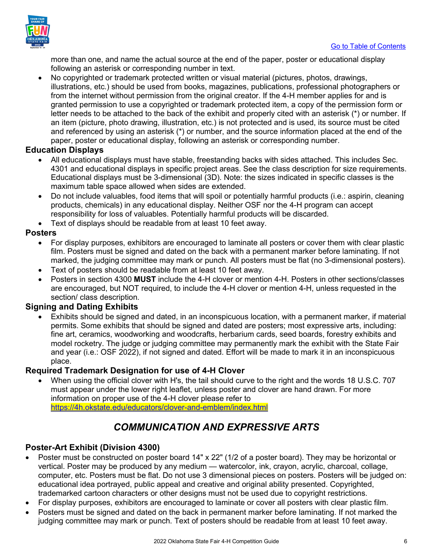

more than one, and name the actual source at the end of the paper, poster or educational display following an asterisk or corresponding number in text.

• No copyrighted or trademark protected written or visual material (pictures, photos, drawings, illustrations, etc.) should be used from books, magazines, publications, professional photographers or from the internet without permission from the original creator. If the 4-H member applies for and is granted permission to use a copyrighted or trademark protected item, a copy of the permission form or letter needs to be attached to the back of the exhibit and properly cited with an asterisk (\*) or number. If an item (picture, photo drawing, illustration, etc.) is not protected and is used, its source must be cited and referenced by using an asterisk (\*) or number, and the source information placed at the end of the paper, poster or educational display, following an asterisk or corresponding number.

### <span id="page-5-0"></span>**Education Displays**

- All educational displays must have stable, freestanding backs with sides attached. This includes Sec. 4301 and educational displays in specific project areas. See the class description for size requirements. Educational displays must be 3-dimensional (3D). Note: the sizes indicated in specific classes is the maximum table space allowed when sides are extended.
- Do not include valuables, food items that will spoil or potentially harmful products (i.e.: aspirin, cleaning products, chemicals) in any educational display. Neither OSF nor the 4-H program can accept responsibility for loss of valuables. Potentially harmful products will be discarded.
- Text of displays should be readable from at least 10 feet away.

### <span id="page-5-1"></span>**Posters**

- For display purposes, exhibitors are encouraged to laminate all posters or cover them with clear plastic film. Posters must be signed and dated on the back with a permanent marker before laminating. If not marked, the judging committee may mark or punch. All posters must be flat (no 3-dimensional posters).
- Text of posters should be readable from at least 10 feet away.
- Posters in section 4300 **MUST** include the 4-H clover or mention 4-H. Posters in other sections/classes are encouraged, but NOT required, to include the 4-H clover or mention 4-H, unless requested in the section/ class description.

### <span id="page-5-2"></span>**Signing and Dating Exhibits**

• Exhibits should be signed and dated, in an inconspicuous location, with a permanent marker, if material permits. Some exhibits that should be signed and dated are posters; most expressive arts, including: fine art, ceramics, woodworking and woodcrafts, herbarium cards, seed boards, forestry exhibits and model rocketry. The judge or judging committee may permanently mark the exhibit with the State Fair and year (i.e.: OSF 2022), if not signed and dated. Effort will be made to mark it in an inconspicuous place.

### <span id="page-5-3"></span>**Required Trademark Designation for use of 4-H Clover**

• When using the official clover with H's, the tail should curve to the right and the words 18 U.S.C. 707 must appear under the lower right leaflet, unless poster and clover are hand drawn. For more information on proper use of the 4-H clover please refer to <https://4h.okstate.edu/educators/clover-and-emblem/index.html>

### *COMMUNICATION AND EXPRESSIVE ARTS*

### <span id="page-5-5"></span><span id="page-5-4"></span>**Poster-Art Exhibit (Division 4300)**

- Poster must be constructed on poster board 14" x 22" (1/2 of a poster board). They may be horizontal or vertical. Poster may be produced by any medium — watercolor, ink, crayon, acrylic, charcoal, collage, computer, etc. Posters must be flat. Do not use 3 dimensional pieces on posters. Posters will be judged on: educational idea portrayed, public appeal and creative and original ability presented. Copyrighted, trademarked cartoon characters or other designs must not be used due to copyright restrictions.
- For display purposes, exhibitors are encouraged to laminate or cover all posters with clear plastic film.
- Posters must be signed and dated on the back in permanent marker before laminating. If not marked the judging committee may mark or punch. Text of posters should be readable from at least 10 feet away.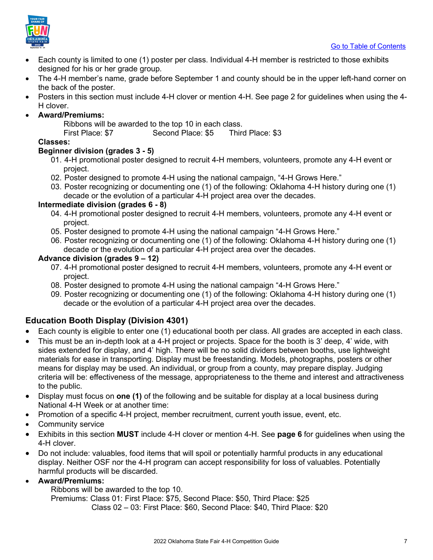

- Each county is limited to one (1) poster per class. Individual 4-H member is restricted to those exhibits designed for his or her grade group.
- The 4-H member's name, grade before September 1 and county should be in the upper left-hand corner on the back of the poster.
- Posters in this section must include 4-H clover or mention 4-H. See page 2 for guidelines when using the 4- H clover.
- **Award/Premiums:**

Ribbons will be awarded to the top 10 in each class.

First Place: \$7 Second Place: \$5 Third Place: \$3

### **Classes:**

### **Beginner division (grades 3 - 5)**

- 01. 4-H promotional poster designed to recruit 4-H members, volunteers, promote any 4-H event or project.
- 02. Poster designed to promote 4-H using the national campaign, "4-H Grows Here."
- 03. Poster recognizing or documenting one (1) of the following: Oklahoma 4-H history during one (1) decade or the evolution of a particular 4-H project area over the decades.

### **Intermediate division (grades 6 - 8)**

- 04. 4-H promotional poster designed to recruit 4-H members, volunteers, promote any 4-H event or project.
- 05. Poster designed to promote 4-H using the national campaign "4-H Grows Here."
- 06. Poster recognizing or documenting one (1) of the following: Oklahoma 4-H history during one (1) decade or the evolution of a particular 4-H project area over the decades.

### **Advance division (grades 9 – 12)**

- 07. 4-H promotional poster designed to recruit 4-H members, volunteers, promote any 4-H event or project.
- 08. Poster designed to promote 4-H using the national campaign "4-H Grows Here."
- 09. Poster recognizing or documenting one (1) of the following: Oklahoma 4-H history during one (1) decade or the evolution of a particular 4-H project area over the decades.

### <span id="page-6-0"></span>**Education Booth Display (Division 4301)**

- Each county is eligible to enter one (1) educational booth per class. All grades are accepted in each class.
- This must be an in-depth look at a 4-H project or projects. Space for the booth is 3' deep, 4' wide, with sides extended for display, and 4' high. There will be no solid dividers between booths, use lightweight materials for ease in transporting. Display must be freestanding. Models, photographs, posters or other means for display may be used. An individual, or group from a county, may prepare display. Judging criteria will be: effectiveness of the message, appropriateness to the theme and interest and attractiveness to the public.
- Display must focus on **one (1)** of the following and be suitable for display at a local business during National 4-H Week or at another time:
- Promotion of a specific 4-H project, member recruitment, current youth issue, event, etc.
- Community service
- Exhibits in this section **MUST** include 4-H clover or mention 4-H. See **page 6** for guidelines when using the 4-H clover.
- Do not include: valuables, food items that will spoil or potentially harmful products in any educational display. Neither OSF nor the 4-H program can accept responsibility for loss of valuables. Potentially harmful products will be discarded.

### • **Award/Premiums:**

Ribbons will be awarded to the top 10.

Premiums: Class 01: First Place: \$75, Second Place: \$50, Third Place: \$25

Class 02 – 03: First Place: \$60, Second Place: \$40, Third Place: \$20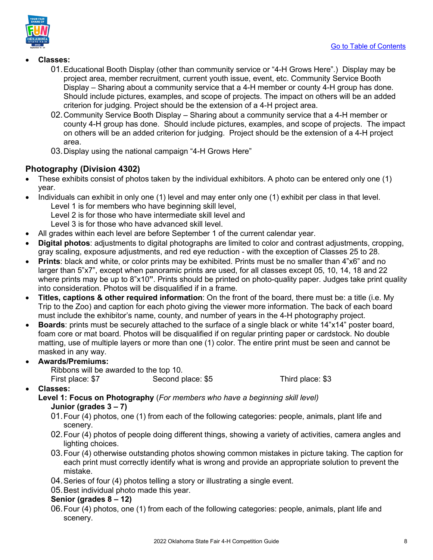

- **Classes:** 
	- 01.Educational Booth Display (other than community service or "4-H Grows Here".) Display may be project area, member recruitment, current youth issue, event, etc. Community Service Booth Display – Sharing about a community service that a 4-H member or county 4-H group has done. Should include pictures, examples, and scope of projects. The impact on others will be an added criterion for judging. Project should be the extension of a 4-H project area.
	- 02.Community Service Booth Display Sharing about a community service that a 4-H member or county 4-H group has done. Should include pictures, examples, and scope of projects. The impact on others will be an added criterion for judging. Project should be the extension of a 4-H project area.
	- 03.Display using the national campaign "4-H Grows Here"

### <span id="page-7-0"></span>**Photography (Division 4302)**

- These exhibits consist of photos taken by the individual exhibitors. A photo can be entered only one (1) year.
- Individuals can exhibit in only one (1) level and may enter only one (1) exhibit per class in that level. Level 1 is for members who have beginning skill level,
	- Level 2 is for those who have intermediate skill level and
	- Level 3 is for those who have advanced skill level.
- All grades within each level are before September 1 of the current calendar year.
- **Digital photos**: adjustments to digital photographs are limited to color and contrast adjustments, cropping, gray scaling, exposure adjustments, and red eye reduction - with the exception of Classes 25 to 28.
- **Prints**: black and white, or color prints may be exhibited. Prints must be no smaller than 4"x6" and no larger than 5"x7", except when panoramic prints are used, for all classes except 05, 10, 14, 18 and 22 where prints may be up to 8"x10**"**. Prints should be printed on photo-quality paper. Judges take print quality into consideration. Photos will be disqualified if in a frame.
- **Titles, captions & other required information**: On the front of the board, there must be: a title (i.e. My Trip to the Zoo) and caption for each photo giving the viewer more information. The back of each board must include the exhibitor's name, county, and number of years in the 4-H photography project.
- **Boards**: prints must be securely attached to the surface of a single black or white 14"x14" poster board, foam core or mat board. Photos will be disqualified if on regular printing paper or cardstock. No double matting, use of multiple layers or more than one (1) color. The entire print must be seen and cannot be masked in any way.
- **Awards/Premiums:** Ribbons will be awarded to the top 10. First place: \$7 Second place: \$5 Third place: \$3
- **Classes:**

**Level 1: Focus on Photography** (*For members who have a beginning skill level)* **Junior (grades 3 – 7)**

- 01.Four (4) photos, one (1) from each of the following categories: people, animals, plant life and scenery.
- 02.Four (4) photos of people doing different things, showing a variety of activities, camera angles and lighting choices.
- 03.Four (4) otherwise outstanding photos showing common mistakes in picture taking. The caption for each print must correctly identify what is wrong and provide an appropriate solution to prevent the mistake.
- 04.Series of four (4) photos telling a story or illustrating a single event.
- 05.Best individual photo made this year.

### **Senior (grades 8 – 12)**

06.Four (4) photos, one (1) from each of the following categories: people, animals, plant life and scenery.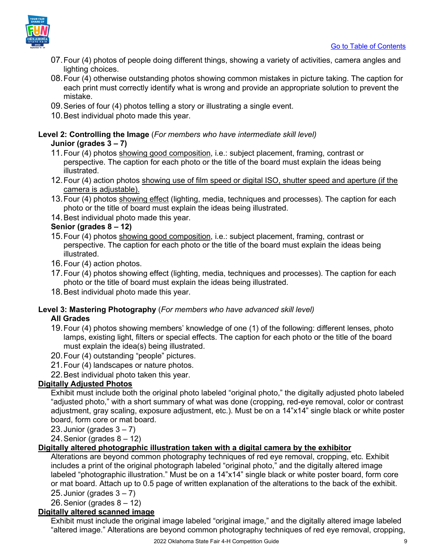

- 07.Four (4) photos of people doing different things, showing a variety of activities, camera angles and lighting choices.
- 08.Four (4) otherwise outstanding photos showing common mistakes in picture taking. The caption for each print must correctly identify what is wrong and provide an appropriate solution to prevent the mistake.
- 09.Series of four (4) photos telling a story or illustrating a single event.
- 10.Best individual photo made this year.

### **Level 2: Controlling the Image** (*For members who have intermediate skill level)* **Junior (grades 3 – 7)**

- 11.Four (4) photos showing good composition, i.e.: subject placement, framing, contrast or perspective. The caption for each photo or the title of the board must explain the ideas being illustrated.
- 12.Four (4) action photos showing use of film speed or digital ISO, shutter speed and aperture (if the camera is adjustable).
- 13.Four (4) photos showing effect (lighting, media, techniques and processes). The caption for each photo or the title of board must explain the ideas being illustrated.
- 14.Best individual photo made this year.

### **Senior (grades 8 – 12)**

- 15.Four (4) photos showing good composition, i.e.: subject placement, framing, contrast or perspective. The caption for each photo or the title of the board must explain the ideas being illustrated.
- 16.Four (4) action photos.
- 17.Four (4) photos showing effect (lighting, media, techniques and processes). The caption for each photo or the title of board must explain the ideas being illustrated.
- 18.Best individual photo made this year.

### **Level 3: Mastering Photography** (*For members who have advanced skill level)* **All Grades**

- 19.Four (4) photos showing members' knowledge of one (1) of the following: different lenses, photo lamps, existing light, filters or special effects. The caption for each photo or the title of the board must explain the idea(s) being illustrated.
- 20.Four (4) outstanding "people" pictures.
- 21.Four (4) landscapes or nature photos.
- 22.Best individual photo taken this year.

### **Digitally Adjusted Photos**

Exhibit must include both the original photo labeled "original photo," the digitally adjusted photo labeled "adjusted photo," with a short summary of what was done (cropping, red-eye removal, color or contrast adjustment, gray scaling, exposure adjustment, etc.). Must be on a 14"x14" single black or white poster board, form core or mat board.

23. Junior (grades  $3 - 7$ )

24. Senior (grades  $8 - 12$ )

### **Digitally altered photographic illustration taken with a digital camera by the exhibitor**

Alterations are beyond common photography techniques of red eye removal, cropping, etc. Exhibit includes a print of the original photograph labeled "original photo," and the digitally altered image labeled "photographic illustration." Must be on a 14"x14" single black or white poster board, form core or mat board. Attach up to 0.5 page of written explanation of the alterations to the back of the exhibit. 25. Junior (grades  $3 - 7$ )

26. Senior (grades  $8 - 12$ )

### **Digitally altered scanned image**

Exhibit must include the original image labeled "original image," and the digitally altered image labeled "altered image." Alterations are beyond common photography techniques of red eye removal, cropping,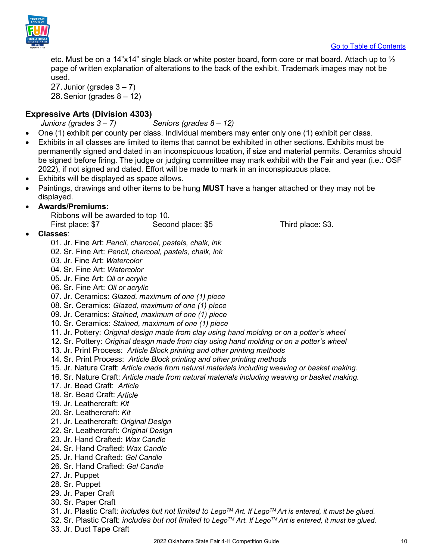

etc. Must be on a 14"x14" single black or white poster board, form core or mat board. Attach up to  $\frac{1}{2}$ page of written explanation of alterations to the back of the exhibit. Trademark images may not be used.

27. Junior (grades  $3 - 7$ ) 28. Senior (grades  $8 - 12$ )

### <span id="page-9-0"></span>**Expressive Arts (Division 4303)**

 *Juniors (grades 3 – 7) Seniors (grades 8 – 12)*

- One (1) exhibit per county per class. Individual members may enter only one (1) exhibit per class.
- Exhibits in all classes are limited to items that cannot be exhibited in other sections. Exhibits must be permanently signed and dated in an inconspicuous location, if size and material permits. Ceramics should be signed before firing. The judge or judging committee may mark exhibit with the Fair and year (i.e.: OSF 2022), if not signed and dated. Effort will be made to mark in an inconspicuous place.
- Exhibits will be displayed as space allows.
- Paintings, drawings and other items to be hung **MUST** have a hanger attached or they may not be displayed.

### • **Awards/Premiums:**

Ribbons will be awarded to top 10. First place: \$7 Second place: \$5 Third place: \$3.

- **Classes**:
	- 01. Jr. Fine Art: *Pencil, charcoal, pastels, chalk, ink*
	- 02. Sr. Fine Art: *Pencil, charcoal, pastels, chalk, ink*
	- 03. Jr. Fine Art: *Watercolor*
	- 04. Sr. Fine Art: *Watercolor*
	- 05. Jr. Fine Art: *Oil or acrylic*
	- 06. Sr. Fine Art: *Oil or acrylic*
	- 07. Jr. Ceramics: *Glazed, maximum of one (1) piece*
	- 08. Sr. Ceramics: *Glazed, maximum of one (1) piece*
	- 09. Jr. Ceramics: *Stained, maximum of one (1) piece*
	- 10. Sr. Ceramics: *Stained, maximum of one (1) piece*
	- 11. Jr. Pottery: *Original design made from clay using hand molding or on a potter's wheel*
	- 12. Sr. Pottery: *Original design made from clay using hand molding or on a potter's wheel*
	- 13. Jr. Print Process: *Article Block printing and other printing methods*
	- 14. Sr. Print Process: *Article Block printing and other printing methods*
	- 15. Jr. Nature Craft: *Article made from natural materials including weaving or basket making.*
	- 16. Sr. Nature Craft: *Article made from natural materials including weaving or basket making.*
	- 17. Jr. Bead Craft: *Article*
	- 18. Sr. Bead Craft: *Article*
	- 19. Jr. Leathercraft: *Kit*
	- 20. Sr. Leathercraft: *Kit*
	- 21. Jr. Leathercraft: *Original Design*
	- 22. Sr. Leathercraft: *Original Design*
	- 23. Jr. Hand Crafted: *Wax Candle*
	- 24. Sr. Hand Crafted: *Wax Candle*
	- 25. Jr. Hand Crafted: *Gel Candle*
	- 26. Sr. Hand Crafted: *Gel Candle*
	- 27. Jr. Puppet
	- 28. Sr. Puppet
	- 29. Jr. Paper Craft
	- 30. Sr. Paper Craft
	- 31. Jr. Plastic Craft: *includes but not limited to LegoTM Art. If LegoTM Art is entered, it must be glued.*
	- 32. Sr. Plastic Craft: *includes but not limited to LegoTM Art. If LegoTM Art is entered, it must be glued.*
	- 33. Jr. Duct Tape Craft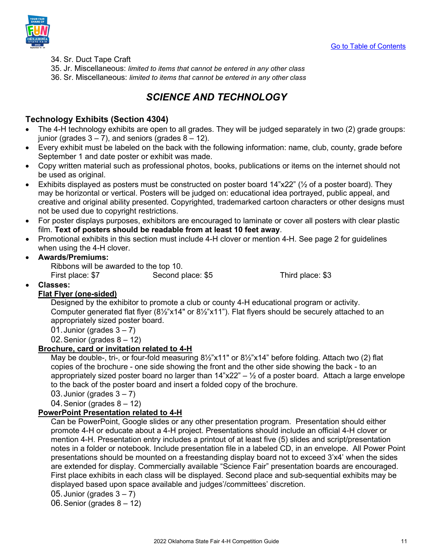

- 34. Sr. Duct Tape Craft
- 35. Jr. Miscellaneous: *limited to items that cannot be entered in any other class*
- <span id="page-10-0"></span>36. Sr. Miscellaneous: *limited to items that cannot be entered in any other class*

### *SCIENCE AND TECHNOLOGY*

### <span id="page-10-1"></span>**Technology Exhibits (Section 4304)**

- The 4-H technology exhibits are open to all grades. They will be judged separately in two (2) grade groups: junior (grades  $3 - 7$ ), and seniors (grades  $8 - 12$ ).
- Every exhibit must be labeled on the back with the following information: name, club, county, grade before September 1 and date poster or exhibit was made.
- Copy written material such as professional photos, books, publications or items on the internet should not be used as original.
- Exhibits displayed as posters must be constructed on poster board 14"x22" (½ of a poster board). They may be horizontal or vertical. Posters will be judged on: educational idea portrayed, public appeal, and creative and original ability presented. Copyrighted, trademarked cartoon characters or other designs must not be used due to copyright restrictions.
- For poster displays purposes, exhibitors are encouraged to laminate or cover all posters with clear plastic film. **Text of posters should be readable from at least 10 feet away**.
- Promotional exhibits in this section must include 4-H clover or mention 4-H. See page 2 for guidelines when using the 4-H clover.

### • **Awards/Premiums:**

Ribbons will be awarded to the top 10. First place: \$7 Second place: \$5 Third place: \$3

• **Classes:** 

### **Flat Flyer (one-sided)**

Designed by the exhibitor to promote a club or county 4-H educational program or activity. Computer generated flat flyer (8½"x14" or 8½"x11"). Flat flyers should be securely attached to an appropriately sized poster board.

01. Junior (grades  $3 - 7$ )

02. Senior (grades  $8 - 12$ )

### **Brochure, card or invitation related to 4-H**

May be double-, tri-, or four-fold measuring 8½"x11" or 8½"x14" before folding. Attach two (2) flat copies of the brochure - one side showing the front and the other side showing the back - to an appropriately sized poster board no larger than  $14"x22" - \frac{1}{2}$  of a poster board. Attach a large envelope to the back of the poster board and insert a folded copy of the brochure.

03. Junior (grades  $3 - 7$ )

04.Senior (grades 8 – 12)

### **PowerPoint Presentation related to 4-H**

Can be PowerPoint, Google slides or any other presentation program. Presentation should either promote 4-H or educate about a 4-H project. Presentations should include an official 4-H clover or mention 4-H. Presentation entry includes a printout of at least five (5) slides and script/presentation notes in a folder or notebook. Include presentation file in a labeled CD, in an envelope. All Power Point presentations should be mounted on a freestanding display board not to exceed 3'x4' when the sides are extended for display. Commercially available "Science Fair" presentation boards are encouraged. First place exhibits in each class will be displayed. Second place and sub-sequential exhibits may be displayed based upon space available and judges'/committees' discretion.

05. Junior (grades  $3 - 7$ )

06.Senior (grades 8 – 12)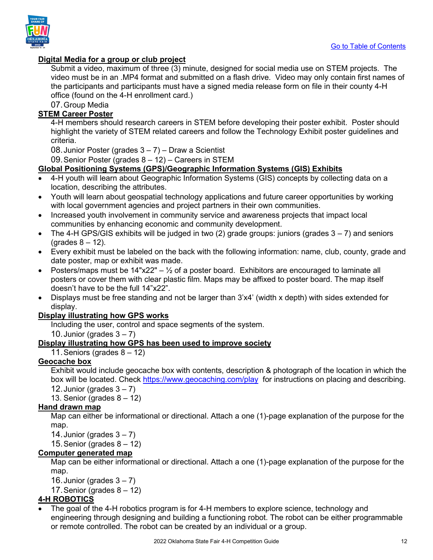



### **Digital Media for a group or club project**

Submit a video, maximum of three (3) minute, designed for social media use on STEM projects. The video must be in an .MP4 format and submitted on a flash drive. Video may only contain first names of the participants and participants must have a signed media release form on file in their county 4-H office (found on the 4-H enrollment card.)

07.Group Media

### **STEM Career Poster**

4-H members should research careers in STEM before developing their poster exhibit. Poster should highlight the variety of STEM related careers and follow the Technology Exhibit poster guidelines and criteria.

08.Junior Poster (grades 3 – 7) – Draw a Scientist

09.Senior Poster (grades 8 – 12) – Careers in STEM

### **Global Positioning Systems (GPS)/Geographic Information Systems (GIS) Exhibits**

- 4-H youth will learn about Geographic Information Systems (GIS) concepts by collecting data on a location, describing the attributes.
- Youth will learn about geospatial technology applications and future career opportunities by working with local government agencies and project partners in their own communities.
- Increased youth involvement in community service and awareness projects that impact local communities by enhancing economic and community development.
- The 4-H GPS/GIS exhibits will be judged in two (2) grade groups: juniors (grades  $3 7$ ) and seniors (grades  $8 - 12$ ).
- Every exhibit must be labeled on the back with the following information: name, club, county, grade and date poster, map or exhibit was made.
- Posters/maps must be  $14"x22" \frac{1}{2}$  of a poster board. Exhibitors are encouraged to laminate all posters or cover them with clear plastic film. Maps may be affixed to poster board. The map itself doesn't have to be the full 14"x22".
- Displays must be free standing and not be larger than 3'x4' (width x depth) with sides extended for display.

### **Display illustrating how GPS works**

Including the user, control and space segments of the system.

10. Junior (grades  $3 - 7$ )

### **Display illustrating how GPS has been used to improve society**

11.Seniors (grades 8 – 12)

### **Geocache box**

Exhibit would include geocache box with contents, description & photograph of the location in which the box will be located. Check<https://www.geocaching.com/play>for instructions on placing and describing.

12. Junior (grades  $3 - 7$ )

13. Senior (grades  $8 - 12$ )

### **Hand drawn map**

Map can either be informational or directional. Attach a one (1)-page explanation of the purpose for the map.

14. Junior (grades  $3 - 7$ )

15. Senior (grades  $8 - 12$ )

### **Computer generated map**

Map can be either informational or directional. Attach a one (1)-page explanation of the purpose for the map.

16. Junior (grades  $3 - 7$ )

17.Senior (grades 8 – 12)

### **4-H ROBOTICS**

• The goal of the 4-H robotics program is for 4-H members to explore science, technology and engineering through designing and building a functioning robot. The robot can be either programmable or remote controlled. The robot can be created by an individual or a group.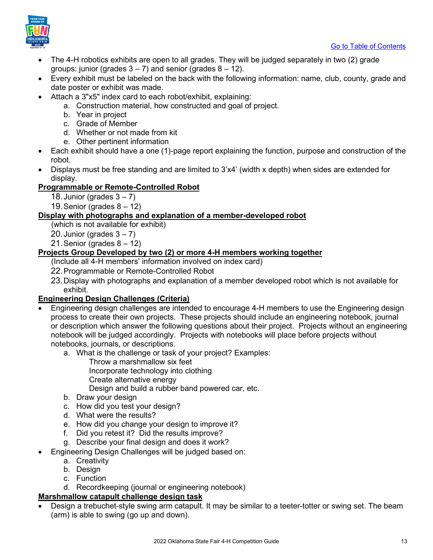[Go to Table of Contents](#page-1-0) 



- The 4-H robotics exhibits are open to all grades. They will be judged separately in two (2) grade groups: junior (grades  $3 - 7$ ) and senior (grades  $8 - 12$ ).
- Every exhibit must be labeled on the back with the following information: name, club, county, grade and date poster or exhibit was made.
- Attach a 3"x5" index card to each robot/exhibit, explaining:
	- a. Construction material, how constructed and goal of project.
	- b. Year in project
	- c. Grade of Member
	- d. Whether or not made from kit
	- e. Other pertinent information
- Each exhibit should have a one (1)-page report explaining the function, purpose and construction of the robot.
- Displays must be free standing and are limited to 3'x4' (width x depth) when sides are extended for display.

### **Programmable or Remote-Controlled Robot**

- 18. Junior (grades  $3 7$ )
- 19. Senior (grades  $8 12$ )

### **Display with photographs and explanation of a member-developed robot**

- (which is not available for exhibit)
- 20. Junior (grades  $3 7$ )
- 21. Senior (grades  $8 12$ )

### **Projects Group Developed by two (2) or more 4-H members working together**

- (Include all 4-H members' information involved on index card)
- 22.Programmable or Remote-Controlled Robot
- 23.Display with photographs and explanation of a member developed robot which is not available for exhibit.

### **Engineering Design Challenges (Criteria)**

- Engineering design challenges are intended to encourage 4-H members to use the Engineering design process to create their own projects. These projects should include an engineering notebook, journal or description which answer the following questions about their project. Projects without an engineering notebook will be judged accordingly. Projects with notebooks will place before projects without notebooks, journals, or descriptions.
	- a. What is the challenge or task of your project? Examples:
		- Throw a marshmallow six feet
		- Incorporate technology into clothing
		- Create alternative energy
		- Design and build a rubber band powered car, etc.
	- b. Draw your design
	- c. How did you test your design?
	- d. What were the results?
	- e. How did you change your design to improve it?
	- f. Did you retest it? Did the results improve?
	- g. Describe your final design and does it work?
- Engineering Design Challenges will be judged based on:
	- a. Creativity
	- b. Design
	- c. Function
	- d. Recordkeeping (journal or engineering notebook)

### **Marshmallow catapult challenge design task**

• Design a trebuchet-style swing arm catapult. It may be similar to a teeter-totter or swing set. The beam (arm) is able to swing (go up and down).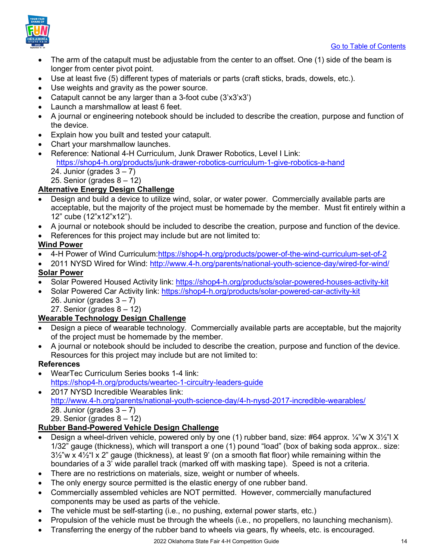

- The arm of the catapult must be adjustable from the center to an offset. One (1) side of the beam is longer from center pivot point.
- Use at least five (5) different types of materials or parts (craft sticks, brads, dowels, etc.).
- Use weights and gravity as the power source.
- Catapult cannot be any larger than a 3-foot cube (3'x3'x3')
- Launch a marshmallow at least 6 feet.
- A journal or engineering notebook should be included to describe the creation, purpose and function of the device.
- Explain how you built and tested your catapult.
- Chart your marshmallow launches.
- Reference: National 4-H Curriculum, Junk Drawer Robotics, Level I Link: <https://shop4-h.org/products/junk-drawer-robotics-curriculum-1-give-robotics-a-hand>  $24.$  Junior (grades  $3 - 7$ ) 25. Senior (grades 8 – 12)

### **Alternative Energy Design Challenge**

- Design and build a device to utilize wind, solar, or water power. Commercially available parts are acceptable, but the majority of the project must be homemade by the member. Must fit entirely within a 12" cube (12"x12"x12").
- A journal or notebook should be included to describe the creation, purpose and function of the device.
- References for this project may include but are not limited to:

### **Wind Power**

- 4-H Power of Wind Curriculum[:https://shop4-h.org/products/power-of-the-wind-curriculum-set-of-2](https://shop4-h.org/products/power-of-the-wind-curriculum-set-of-2)
- 2011 NYSD Wired for Wind:<http://www.4-h.org/parents/national-youth-science-day/wired-for-wind/> **Solar Power**
- Solar Powered Housed Activity link:<https://shop4-h.org/products/solar-powered-houses-activity-kit>
- Solar Powered Car Activity link:<https://shop4-h.org/products/solar-powered-car-activity-kit>
	- 26. Junior (grades  $3 7$ )
	- 27. Senior (grades  $8 12$ )

### **Wearable Technology Design Challenge**

- Design a piece of wearable technology. Commercially available parts are acceptable, but the majority of the project must be homemade by the member.
- A journal or notebook should be included to describe the creation, purpose and function of the device. Resources for this project may include but are not limited to:

### **References**

- WearTec Curriculum Series books 1-4 link: <https://shop4-h.org/products/weartec-1-circuitry-leaders-guide>
- 2017 NYSD Incredible Wearables link: <http://www.4-h.org/parents/national-youth-science-day/4-h-nysd-2017-incredible-wearables/> 28. Junior (grades  $3 - 7$ ) 29. Senior (grades 8 – 12)

### **Rubber Band-Powered Vehicle Design Challenge**

- Design a wheel-driven vehicle, powered only by one (1) rubber band, size: #64 approx. ¼"w X 3½"l X 1/32" gauge (thickness), which will transport a one (1) pound "load" (box of baking soda approx.. size:  $3\frac{1}{2}$ "w x  $4\frac{1}{2}$ " x 2" gauge (thickness), at least 9' (on a smooth flat floor) while remaining within the boundaries of a 3' wide parallel track (marked off with masking tape). Speed is not a criteria.
- There are no restrictions on materials, size, weight or number of wheels.
- The only energy source permitted is the elastic energy of one rubber band.
- Commercially assembled vehicles are NOT permitted. However, commercially manufactured components may be used as parts of the vehicle.
- The vehicle must be self-starting (i.e., no pushing, external power starts, etc.)
- Propulsion of the vehicle must be through the wheels (i.e., no propellers, no launching mechanism).
- Transferring the energy of the rubber band to wheels via gears, fly wheels, etc. is encouraged.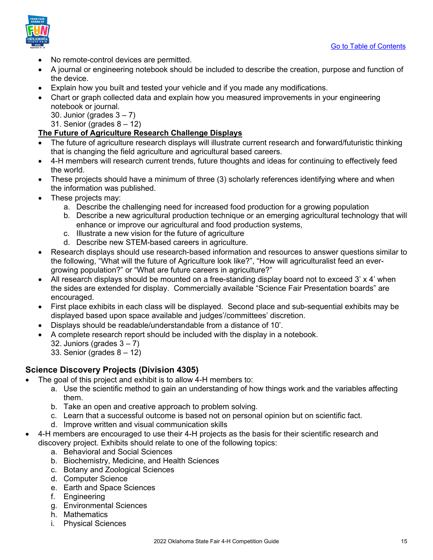

- No remote-control devices are permitted.
- A journal or engineering notebook should be included to describe the creation, purpose and function of the device.
- Explain how you built and tested your vehicle and if you made any modifications.
- Chart or graph collected data and explain how you measured improvements in your engineering notebook or journal.
	- 30. Junior (grades  $3 7$ )
	- 31. Senior (grades  $8 12$ )

### **The Future of Agriculture Research Challenge Displays**

- The future of agriculture research displays will illustrate current research and forward/futuristic thinking that is changing the field agriculture and agricultural based careers.
- 4-H members will research current trends, future thoughts and ideas for continuing to effectively feed the world.
- These projects should have a minimum of three (3) scholarly references identifying where and when the information was published.
- These projects may:
	- a. Describe the challenging need for increased food production for a growing population
	- b. Describe a new agricultural production technique or an emerging agricultural technology that will enhance or improve our agricultural and food production systems,
	- c. Illustrate a new vision for the future of agriculture
	- d. Describe new STEM-based careers in agriculture.
- Research displays should use research-based information and resources to answer questions similar to the following, "What will the future of Agriculture look like?", "How will agriculturalist feed an evergrowing population?" or "What are future careers in agriculture?"
- All research displays should be mounted on a free-standing display board not to exceed 3' x 4' when the sides are extended for display. Commercially available "Science Fair Presentation boards" are encouraged.
- First place exhibits in each class will be displayed. Second place and sub-sequential exhibits may be displayed based upon space available and judges'/committees' discretion.
- Displays should be readable/understandable from a distance of 10'.
- A complete research report should be included with the display in a notebook.
	- 32. Juniors (grades  $3 7$ )
	- 33. Senior (grades 8 12)

### <span id="page-14-0"></span>**Science Discovery Projects (Division 4305)**

- The goal of this project and exhibit is to allow 4-H members to:
	- a. Use the scientific method to gain an understanding of how things work and the variables affecting them.
	- b. Take an open and creative approach to problem solving.
	- c. Learn that a successful outcome is based not on personal opinion but on scientific fact.
	- d. Improve written and visual communication skills
- 4-H members are encouraged to use their 4-H projects as the basis for their scientific research and discovery project. Exhibits should relate to one of the following topics:
	- a. Behavioral and Social Sciences
	- b. Biochemistry, Medicine, and Health Sciences
	- c. Botany and Zoological Sciences
	- d. Computer Science
	- e. Earth and Space Sciences
	- f. Engineering
	- g. Environmental Sciences
	- h. Mathematics
	- i. Physical Sciences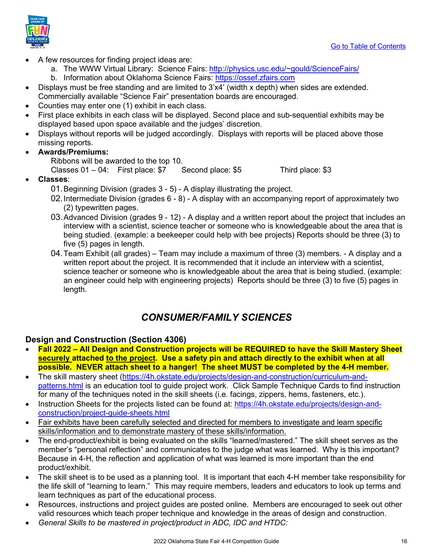

- A few resources for finding project ideas are:
	- a. The WWW Virtual Library: Science Fairs: [http://physics.usc.edu/~gould/ScienceFairs/](http://physics.usc.edu/%7Egould/ScienceFairs/)
	- b. Information about Oklahoma Science Fairs: [https://ossef.zfairs.com](https://ossef.zfairs.com/)
- Displays must be free standing and are limited to 3'x4' (width x depth) when sides are extended. Commercially available "Science Fair" presentation boards are encouraged.
- Counties may enter one (1) exhibit in each class.
- First place exhibits in each class will be displayed. Second place and sub-sequential exhibits may be displayed based upon space available and the judges' discretion.
- Displays without reports will be judged accordingly. Displays with reports will be placed above those missing reports.
- **Awards/Premiums:** 
	- Ribbons will be awarded to the top 10. Classes 01 – 04: First place: \$7 Second place: \$5 Third place: \$3
- **Classes**:
	- 01.Beginning Division (grades 3 5) A display illustrating the project.
	- 02.Intermediate Division (grades 6 8) A display with an accompanying report of approximately two (2) typewritten pages.
	- 03.Advanced Division (grades 9 12) A display and a written report about the project that includes an interview with a scientist, science teacher or someone who is knowledgeable about the area that is being studied. (example: a beekeeper could help with bee projects) Reports should be three (3) to five (5) pages in length.
	- 04.Team Exhibit (all grades) Team may include a maximum of three (3) members. A display and a written report about the project. It is recommended that it include an interview with a scientist, science teacher or someone who is knowledgeable about the area that is being studied. (example: an engineer could help with engineering projects) Reports should be three (3) to five (5) pages in length.

### *CONSUMER/FAMILY SCIENCES*

### <span id="page-15-1"></span><span id="page-15-0"></span>**Design and Construction (Section 4306)**

- **Fall 2022 All Design and Construction projects will be REQUIRED to have the Skill Mastery Sheet securely attached to the project. Use a safety pin and attach directly to the exhibit when at all possible. NEVER attach sheet to a hanger! The sheet MUST be completed by the 4-H member.**
- The skill mastery sheet [\(https://4h.okstate.edu/projects/design-and-construction/curriculum-and](https://4h.okstate.edu/projects/design-and-construction/curriculum-and-patterns.html)[patterns.html](https://4h.okstate.edu/projects/design-and-construction/curriculum-and-patterns.html) is an education tool to guide project work. Click Sample Technique Cards to find instruction for many of the techniques noted in the skill sheets (i.e. facings, zippers, hems, fasteners, etc.).
- Instruction Sheets for the projects listed can be found at: [https://4h.okstate.edu/projects/design-and](https://4h.okstate.edu/projects/design-and-construction/project-guide-sheets.html)[construction/project-guide-sheets.html](https://4h.okstate.edu/projects/design-and-construction/project-guide-sheets.html)
- Fair exhibits have been carefully selected and directed for members to investigate and learn specific skills/information and to demonstrate mastery of these skills/information.
- The end-product/exhibit is being evaluated on the skills "learned/mastered." The skill sheet serves as the member's "personal reflection" and communicates to the judge what was learned. Why is this important? Because in 4-H, the reflection and application of what was learned is more important than the end product/exhibit.
- The skill sheet is to be used as a planning tool. It is important that each 4-H member take responsibility for the life skill of "learning to learn." This may require members, leaders and educators to look up terms and learn techniques as part of the educational process.
- Resources, instructions and project guides are posted online. Members are encouraged to seek out other valid resources which teach proper technique and knowledge in the areas of design and construction.
- *General Skills to be mastered in project/product in ADC, IDC and HTDC:*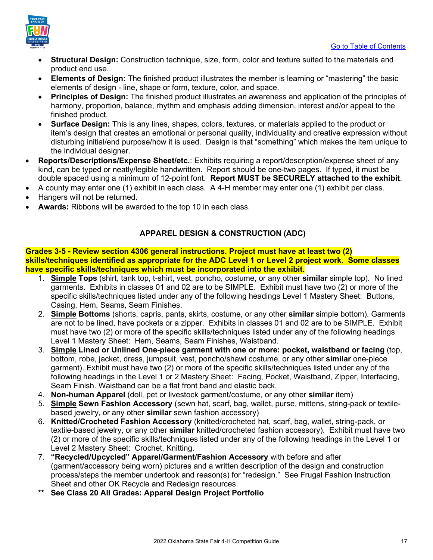

- **Structural Design:** Construction technique, size, form, color and texture suited to the materials and product end use.
- **Elements of Design:** The finished product illustrates the member is learning or "mastering" the basic elements of design - line, shape or form, texture, color, and space.
- **Principles of Design:** The finished product illustrates an awareness and application of the principles of harmony, proportion, balance, rhythm and emphasis adding dimension, interest and/or appeal to the finished product.
- **Surface Design:** This is any lines, shapes, colors, textures, or materials applied to the product or item's design that creates an emotional or personal quality, individuality and creative expression without disturbing initial/end purpose/how it is used. Design is that "something" which makes the item unique to the individual designer.
- **Reports/Descriptions/Expense Sheet/etc.**: Exhibits requiring a report/description/expense sheet of any kind, can be typed or neatly/legible handwritten. Report should be one-two pages. If typed, it must be double spaced using a minimum of 12-point font. **Report MUST be SECURELY attached to the exhibit**.
- A county may enter one (1) exhibit in each class. A 4-H member may enter one (1) exhibit per class.
- Hangers will not be returned.
- **Awards:** Ribbons will be awarded to the top 10 in each class.

### **APPAREL DESIGN & CONSTRUCTION (ADC)**

### **Grades 3-5 - Review section 4306 general instructions. Project must have at least two (2) skills/techniques identified as appropriate for the ADC Level 1 or Level 2 project work. Some classes have specific skills/techniques which must be incorporated into the exhibit.**

- 1. **Simple Tops** (shirt, tank top, t-shirt, vest, poncho, costume, or any other **similar** simple top). No lined garments. Exhibits in classes 01 and 02 are to be SIMPLE. Exhibit must have two (2) or more of the specific skills/techniques listed under any of the following headings Level 1 Mastery Sheet: Buttons, Casing, Hem, Seams, Seam Finishes.
- 2. **Simple Bottoms** (shorts, capris, pants, skirts, costume, or any other **similar** simple bottom). Garments are not to be lined, have pockets or a zipper. Exhibits in classes 01 and 02 are to be SIMPLE. Exhibit must have two (2) or more of the specific skills/techniques listed under any of the following headings Level 1 Mastery Sheet: Hem, Seams, Seam Finishes, Waistband.
- 3. **Simple Lined or Unlined One-piece garment with one or more: pocket, waistband or facing** (top, bottom, robe, jacket, dress, jumpsuit, vest, poncho/shawl costume, or any other **similar** one-piece garment). Exhibit must have two (2) or more of the specific skills/techniques listed under any of the following headings in the Level 1 or 2 Mastery Sheet: Facing, Pocket, Waistband, Zipper, Interfacing, Seam Finish. Waistband can be a flat front band and elastic back.
- 4. **Non-human Apparel** (doll, pet or livestock garment/costume, or any other **similar** item)
- 5. **Simple Sewn Fashion Accessory** (sewn hat, scarf, bag, wallet, purse, mittens, string-pack or textilebased jewelry, or any other **similar** sewn fashion accessory)
- 6. **Knitted/Crocheted Fashion Accessory** (knitted/crocheted hat, scarf, bag, wallet, string-pack, or textile-based jewelry, or any other **similar** knitted/crocheted fashion accessory). Exhibit must have two (2) or more of the specific skills/techniques listed under any of the following headings in the Level 1 or Level 2 Mastery Sheet: Crochet, Knitting.
- 7. **"Recycled/Upcycled" Apparel/Garment/Fashion Accessory** with before and after (garment/accessory being worn) pictures and a written description of the design and construction process/steps the member undertook and reason(s) for "redesign." See Frugal Fashion Instruction Sheet and other OK Recycle and Redesign resources.
- **\*\* See Class 20 All Grades: Apparel Design Project Portfolio**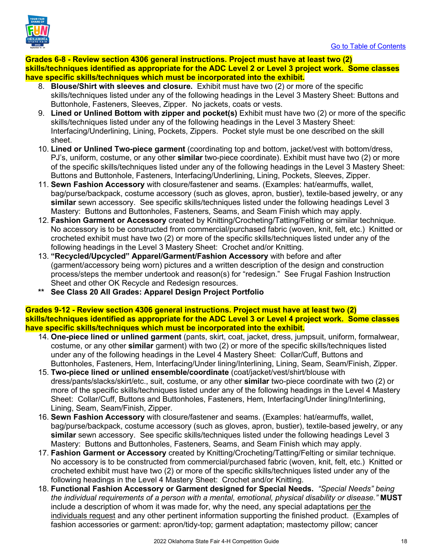

**Grades 6-8 - Review section 4306 general instructions. Project must have at least two (2) skills/techniques identified as appropriate for the ADC Level 2 or Level 3 project work. Some classes have specific skills/techniques which must be incorporated into the exhibit.**

- 8. **Blouse/Shirt with sleeves and closure.** Exhibit must have two (2) or more of the specific skills/techniques listed under any of the following headings in the Level 3 Mastery Sheet: Buttons and Buttonhole, Fasteners, Sleeves, Zipper. No jackets, coats or vests.
- 9. **Lined or Unlined Bottom with zipper and pocket(s)** Exhibit must have two (2) or more of the specific skills/techniques listed under any of the following headings in the Level 3 Mastery Sheet: Interfacing/Underlining, Lining, Pockets, Zippers. Pocket style must be one described on the skill sheet.
- 10. **Lined or Unlined Two-piece garment** (coordinating top and bottom, jacket/vest with bottom/dress, PJ's, uniform, costume, or any other **similar** two-piece coordinate). Exhibit must have two (2) or more of the specific skills/techniques listed under any of the following headings in the Level 3 Mastery Sheet: Buttons and Buttonhole, Fasteners, Interfacing/Underlining, Lining, Pockets, Sleeves, Zipper.
- 11. **Sewn Fashion Accessory** with closure/fastener and seams. (Examples: hat/earmuffs, wallet, bag/purse/backpack, costume accessory (such as gloves, apron, bustier), textile-based jewelry, or any **similar** sewn accessory. See specific skills/techniques listed under the following headings Level 3 Mastery: Buttons and Buttonholes, Fasteners, Seams, and Seam Finish which may apply.
- 12. **Fashion Garment or Accessory** created by Knitting/Crocheting/Tatting/Felting or similar technique. No accessory is to be constructed from commercial/purchased fabric (woven, knit, felt, etc.) Knitted or crocheted exhibit must have two (2) or more of the specific skills/techniques listed under any of the following headings in the Level 3 Mastery Sheet: Crochet and/or Knitting.
- 13. **"Recycled/Upcycled" Apparel/Garment/Fashion Accessory** with before and after (garment/accessory being worn) pictures and a written description of the design and construction process/steps the member undertook and reason(s) for "redesign." See Frugal Fashion Instruction Sheet and other OK Recycle and Redesign resources.
- **\*\* See Class 20 All Grades: Apparel Design Project Portfolio**

**Grades 9-12 - Review section 4306 general instructions. Project must have at least two (2) skills/techniques identified as appropriate for the ADC Level 3 or Level 4 project work. Some classes have specific skills/techniques which must be incorporated into the exhibit.**

- 14. **One-piece lined or unlined garment** (pants, skirt, coat, jacket, dress, jumpsuit, uniform, formalwear, costume, or any other **similar** garment) with two (2) or more of the specific skills/techniques listed under any of the following headings in the Level 4 Mastery Sheet: Collar/Cuff, Buttons and Buttonholes, Fasteners, Hem, Interfacing/Under lining/Interlining, Lining, Seam, Seam/Finish, Zipper.
- 15. **Two-piece lined or unlined ensemble/coordinate** (coat/jacket/vest/shirt/blouse with dress/pants/slacks/skirt/etc., suit, costume, or any other **similar** two-piece coordinate with two (2) or more of the specific skills/techniques listed under any of the following headings in the Level 4 Mastery Sheet: Collar/Cuff, Buttons and Buttonholes, Fasteners, Hem, Interfacing/Under lining/Interlining, Lining, Seam, Seam/Finish, Zipper.
- 16. **Sewn Fashion Accessory** with closure/fastener and seams. (Examples: hat/earmuffs, wallet, bag/purse/backpack, costume accessory (such as gloves, apron, bustier), textile-based jewelry, or any **similar** sewn accessory. See specific skills/techniques listed under the following headings Level 3 Mastery: Buttons and Buttonholes, Fasteners, Seams, and Seam Finish which may apply.
- 17. **Fashion Garment or Accessory** created by Knitting/Crocheting/Tatting/Felting or similar technique. No accessory is to be constructed from commercial/purchased fabric (woven, knit, felt, etc.) Knitted or crocheted exhibit must have two (2) or more of the specific skills/techniques listed under any of the following headings in the Level 4 Mastery Sheet: Crochet and/or Knitting.
- 18. **Functional Fashion Accessory or Garment designed for Special Needs.** *"Special Needs" being the individual requirements of a person with a mental, emotional, physical disability or disease."* **MUST** include a description of whom it was made for, why the need, any special adaptations per the individuals request and any other pertinent information supporting the finished product. (Examples of fashion accessories or garment: apron/tidy-top; garment adaptation; mastectomy pillow; cancer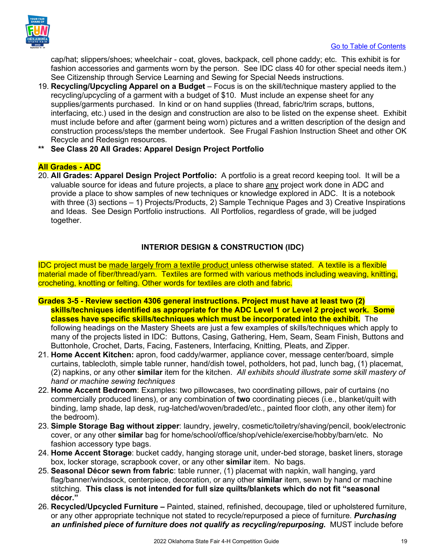

cap/hat; slippers/shoes; wheelchair - coat, gloves, backpack, cell phone caddy; etc. This exhibit is for fashion accessories and garments worn by the person. See IDC class 40 for other special needs item.) See Citizenship through Service Learning and Sewing for Special Needs instructions.

- 19. **Recycling/Upcycling Apparel on a Budget** Focus is on the skill/technique mastery applied to the recycling/upcycling of a garment with a budget of \$10. Must include an expense sheet for any supplies/garments purchased. In kind or on hand supplies (thread, fabric/trim scraps, buttons, interfacing, etc.) used in the design and construction are also to be listed on the expense sheet. Exhibit must include before and after (garment being worn) pictures and a written description of the design and construction process/steps the member undertook. See Frugal Fashion Instruction Sheet and other OK Recycle and Redesign resources.
- **\*\* See Class 20 All Grades: Apparel Design Project Portfolio**

### **All Grades - ADC**

20. **All Grades: Apparel Design Project Portfolio:** A portfolio is a great record keeping tool. It will be a valuable source for ideas and future projects, a place to share any project work done in ADC and provide a place to show samples of new techniques or knowledge explored in ADC. It is a notebook with three (3) sections – 1) Projects/Products, 2) Sample Technique Pages and 3) Creative Inspirations and Ideas. See Design Portfolio instructions. All Portfolios, regardless of grade, will be judged together.

### **INTERIOR DESIGN & CONSTRUCTION (IDC)**

IDC project must be made largely from a textile product unless otherwise stated. A textile is a flexible material made of fiber/thread/yarn. Textiles are formed with various methods including weaving, knitting, crocheting, knotting or felting. Other words for textiles are cloth and fabric.

- **Grades 3-5 Review section 4306 general instructions. Project must have at least two (2) skills/techniques identified as appropriate for the ADC Level 1 or Level 2 project work. Some classes have specific skills/techniques which must be incorporated into the exhibit.** The following headings on the Mastery Sheets are just a few examples of skills/techniques which apply to many of the projects listed in IDC: Buttons, Casing, Gathering, Hem, Seam, Seam Finish, Buttons and Buttonhole, Crochet, Darts, Facing, Fasteners, Interfacing, Knitting, Pleats, and Zipper.
- 21. **Home Accent Kitchen:** apron, food caddy/warmer, appliance cover, message center/board, simple curtains, tablecloth, simple table runner, hand/dish towel, potholders, hot pad, lunch bag, (1) placemat, (2) napkins, or any other **similar** item for the kitchen. *All exhibits should illustrate some skill mastery of hand or machine sewing techniques*
- 22. **Home Accent Bedroom**: Examples: two pillowcases, two coordinating pillows, pair of curtains (no commercially produced linens), or any combination of **two** coordinating pieces (i.e., blanket/quilt with binding, lamp shade, lap desk, rug-latched/woven/braded/etc., painted floor cloth, any other item) for the bedroom).
- 23. **Simple Storage Bag without zipper**: laundry, jewelry, cosmetic/toiletry/shaving/pencil, book/electronic cover, or any other **similar** bag for home/school/office/shop/vehicle/exercise/hobby/barn/etc. No fashion accessory type bags.
- 24. **Home Accent Storage**: bucket caddy, hanging storage unit, under-bed storage, basket liners, storage box, locker storage, scrapbook cover, or any other **similar** item. No bags.
- 25. **Seasonal Décor sewn from fabric**: table runner, (1) placemat with napkin, wall hanging, yard flag/banner/windsock, centerpiece, decoration, or any other **similar** item, sewn by hand or machine stitching. **This class is not intended for full size quilts/blankets which do not fit "seasonal décor."**
- 26. **Recycled/Upcycled Furniture** Painted, stained, refinished, decoupage, tiled or upholstered furniture, or any other appropriate technique not stated to recycle/repurposed a piece of furniture. *Purchasing an unfinished piece of furniture does not qualify as recycling/repurposing.* MUST include before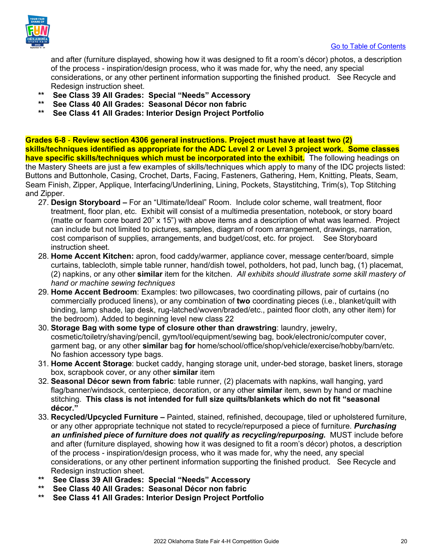

and after (furniture displayed, showing how it was designed to fit a room's décor) photos, a description of the process - inspiration/design process, who it was made for, why the need, any special considerations, or any other pertinent information supporting the finished product. See Recycle and Redesign instruction sheet.

- **\*\* See Class 39 All Grades: Special "Needs" Accessory**
- **\*\* See Class 40 All Grades: Seasonal Décor non fabric**
- **\*\* See Class 41 All Grades: Interior Design Project Portfolio**

**Grades 6-8** - **Review section 4306 general instructions. Project must have at least two (2) skills/techniques identified as appropriate for the ADC Level 2 or Level 3 project work. Some classes have specific skills/techniques which must be incorporated into the exhibit.** The following headings on the Mastery Sheets are just a few examples of skills/techniques which apply to many of the IDC projects listed: Buttons and Buttonhole, Casing, Crochet, Darts, Facing, Fasteners, Gathering, Hem, Knitting, Pleats, Seam, Seam Finish, Zipper, Applique, Interfacing/Underlining, Lining, Pockets, Staystitching, Trim(s), Top Stitching and Zipper.

- 27. **Design Storyboard** For an "Ultimate/Ideal" Room. Include color scheme, wall treatment, floor treatment, floor plan, etc. Exhibit will consist of a multimedia presentation, notebook, or story board (matte or foam core board 20" x 15") with above items and a description of what was learned. Project can include but not limited to pictures, samples, diagram of room arrangement, drawings, narration, cost comparison of supplies, arrangements, and budget/cost, etc. for project. See Storyboard instruction sheet.
- 28. **Home Accent Kitchen:** apron, food caddy/warmer, appliance cover, message center/board, simple curtains, tablecloth, simple table runner, hand/dish towel, potholders, hot pad, lunch bag, (1) placemat, (2) napkins, or any other **similar** item for the kitchen. *All exhibits should illustrate some skill mastery of hand or machine sewing techniques*
- 29. **Home Accent Bedroom**: Examples: two pillowcases, two coordinating pillows, pair of curtains (no commercially produced linens), or any combination of **two** coordinating pieces (i.e., blanket/quilt with binding, lamp shade, lap desk, rug-latched/woven/braded/etc., painted floor cloth, any other item) for the bedroom). Added to beginning level new class 22
- 30. **Storage Bag with some type of closure other than drawstring**: laundry, jewelry, cosmetic/toiletry/shaving/pencil, gym/tool/equipment/sewing bag, book/electronic/computer cover, garment bag, or any other **similar** bag **for** home/school/office/shop/vehicle/exercise/hobby/barn/etc. No fashion accessory type bags.
- 31. **Home Accent Storage**: bucket caddy, hanging storage unit, under-bed storage, basket liners, storage box, scrapbook cover, or any other **similar** item
- 32. **Seasonal Décor sewn from fabric**: table runner, (2) placemats with napkins, wall hanging, yard flag/banner/windsock, centerpiece, decoration, or any other **similar** item, sewn by hand or machine stitching. **This class is not intended for full size quilts/blankets which do not fit "seasonal décor."**
- 33. **Recycled/Upcycled Furniture** Painted, stained, refinished, decoupage, tiled or upholstered furniture, or any other appropriate technique not stated to recycle/repurposed a piece of furniture. *Purchasing an unfinished piece of furniture does not qualify as recycling/repurposing.* MUST include before and after (furniture displayed, showing how it was designed to fit a room's décor) photos, a description of the process - inspiration/design process, who it was made for, why the need, any special considerations, or any other pertinent information supporting the finished product. See Recycle and Redesign instruction sheet.
- **\*\* See Class 39 All Grades: Special "Needs" Accessory**
- **\*\* See Class 40 All Grades: Seasonal Décor non fabric**
- **\*\* See Class 41 All Grades: Interior Design Project Portfolio**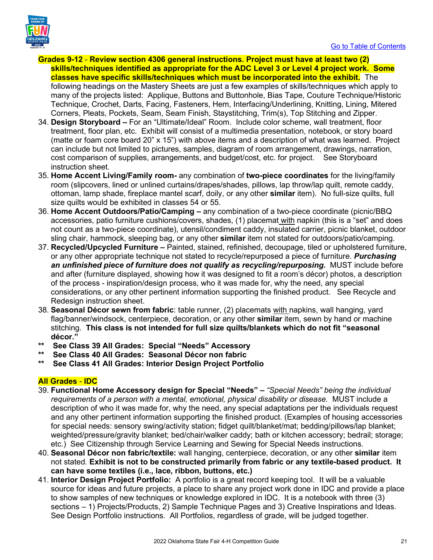



- **Grades 9-12 Review section 4306 general instructions. Project must have at least two (2) skills/techniques identified as appropriate for the ADC Level 3 or Level 4 project work. Some classes have specific skills/techniques which must be incorporated into the exhibit.** The following headings on the Mastery Sheets are just a few examples of skills/techniques which apply to many of the projects listed: Applique, Buttons and Buttonhole, Bias Tape, Couture Technique/Historic Technique, Crochet, Darts, Facing, Fasteners, Hem, Interfacing/Underlining, Knitting, Lining, Mitered Corners, Pleats, Pockets, Seam, Seam Finish, Staystitching, Trim(s), Top Stitching and Zipper.
- 34. **Design Storyboard** For an "Ultimate/Ideal" Room. Include color scheme, wall treatment, floor treatment, floor plan, etc. Exhibit will consist of a multimedia presentation, notebook, or story board (matte or foam core board 20" x 15") with above items and a description of what was learned. Project can include but not limited to pictures, samples, diagram of room arrangement, drawings, narration, cost comparison of supplies, arrangements, and budget/cost, etc. for project. See Storyboard instruction sheet.
- 35. **Home Accent Living/Family room-** any combination of **two-piece coordinates** for the living/family room (slipcovers, lined or unlined curtains/drapes/shades, pillows, lap throw/lap quilt, remote caddy, ottoman, lamp shade, fireplace mantel scarf, doily, or any other **similar** item). No full-size quilts, full size quilts would be exhibited in classes 54 or 55.
- 36. **Home Accent Outdoors/Patio/Camping** any combination of a two-piece coordinate (picnic/BBQ accessories, patio furniture cushions/covers, shades, (1) placemat with napkin (this is a "set" and does not count as a two-piece coordinate), utensil/condiment caddy, insulated carrier, picnic blanket, outdoor sling chair, hammock, sleeping bag, or any other **similar** item not stated for outdoors/patio/camping.
- 37. **Recycled/Upcycled Furniture** Painted, stained, refinished, decoupage, tiled or upholstered furniture, or any other appropriate technique not stated to recycle/repurposed a piece of furniture. *Purchasing*  an unfinished piece of furniture does not qualify as recycling/repurposing. MUST include before and after (furniture displayed, showing how it was designed to fit a room's décor) photos, a description of the process - inspiration/design process, who it was made for, why the need, any special considerations, or any other pertinent information supporting the finished product. See Recycle and Redesign instruction sheet.
- 38. **Seasonal Décor sewn from fabric**: table runner, (2) placemats with napkins, wall hanging, yard flag/banner/windsock, centerpiece, decoration, or any other **similar** item, sewn by hand or machine stitching. **This class is not intended for full size quilts/blankets which do not fit "seasonal décor."**
- **\*\* See Class 39 All Grades: Special "Needs" Accessory**
- See Class 40 All Grades: Seasonal Décor non fabric
- **\*\* See Class 41 All Grades: Interior Design Project Portfolio**

### **All Grades** - **IDC**

- 39. **Functional Home Accessory design for Special "Needs"** *"Special Needs" being the individual requirements of a person with a mental, emotional, physical disability or disease.* MUST include a description of who it was made for, why the need, any special adaptations per the individuals request and any other pertinent information supporting the finished product. (Examples of housing accessories for special needs: sensory swing/activity station; fidget quilt/blanket/mat; bedding/pillows/lap blanket; weighted/pressure/gravity blanket; bed/chair/walker caddy; bath or kitchen accessory; bedrail; storage; etc.) See Citizenship through Service Learning and Sewing for Special Needs instructions.
- 40. **Seasonal Décor non fabric/textile:** wall hanging, centerpiece, decoration, or any other **similar** item not stated. **Exhibit is not to be constructed primarily from fabric or any textile-based product. It can have some textiles (i.e., lace, ribbon, buttons, etc.)**
- 41. **Interior Design Project Portfolio:** A portfolio is a great record keeping tool. It will be a valuable source for ideas and future projects, a place to share any project work done in IDC and provide a place to show samples of new techniques or knowledge explored in IDC. It is a notebook with three (3) sections – 1) Projects/Products, 2) Sample Technique Pages and 3) Creative Inspirations and Ideas. See Design Portfolio instructions. All Portfolios, regardless of grade, will be judged together.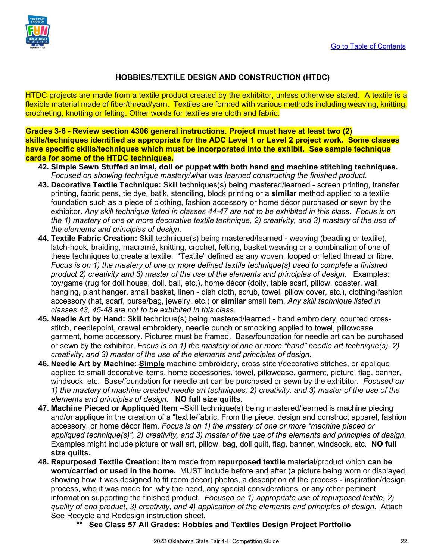

### **HOBBIES/TEXTILE DESIGN AND CONSTRUCTION (HTDC)**

HTDC projects are made from a textile product created by the exhibitor, unless otherwise stated. A textile is a flexible material made of fiber/thread/yarn. Textiles are formed with various methods including weaving, knitting, crocheting, knotting or felting. Other words for textiles are cloth and fabric.

**Grades 3-6 - Review section 4306 general instructions. Project must have at least two (2) skills/techniques identified as appropriate for the ADC Level 1 or Level 2 project work. Some classes have specific skills/techniques which must be incorporated into the exhibit. See sample technique cards for some of the HTDC techniques.**

- **42. Simple Sewn Stuffed animal, doll or puppet with both hand and machine stitching techniques.**  *Focused on showing technique mastery/what was learned constructing the finished product.*
- **43. Decorative Textile Technique:** Skill techniques(s) being mastered/learned screen printing, transfer printing, fabric pens, tie dye, batik, stenciling, block printing or a **similar** method applied to a textile foundation such as a piece of clothing, fashion accessory or home décor purchased or sewn by the exhibitor. *Any skill technique listed in classes 44-47 are not to be exhibited in this class. Focus is on the 1) mastery of one or more decorative textile technique, 2) creativity, and 3) mastery of the use of the elements and principles of design.*
- **44. Textile Fabric Creation:** Skill technique(s) being mastered/learned weaving (beading or textile), latch-hook, braiding, macramé, knitting, crochet, felting, basket weaving or a combination of one of these techniques to create a textile. "Textile" defined as any woven, looped or felted thread or fibre. *Focus is on 1) the mastery of one or more defined textile technique(s) used to complete a finished product 2) creativity and 3) master of the use of the elements and principles of design.* Examples: toy/game (rug for doll house, doll, ball, etc.), home décor (doily, table scarf, pillow, coaster, wall hanging, plant hanger, small basket, linen - dish cloth, scrub, towel, pillow cover, etc.), clothing/fashion accessory (hat, scarf, purse/bag, jewelry, etc.) or **similar** small item. *Any skill technique listed in classes 43, 45-48 are not to be exhibited in this class*.
- **45. Needle Art by Hand:** Skill technique(s) being mastered/learned hand embroidery, counted crossstitch, needlepoint, crewel embroidery, needle punch or smocking applied to towel, pillowcase, garment, home accessory. Pictures must be framed. Base/foundation for needle art can be purchased or sewn by the exhibitor. *Focus is on 1) the mastery of one or more "hand" needle art technique(s), 2) creativity, and 3) master of the use of the elements and principles of design.*
- **46. Needle Art by Machine: Simple** machine embroidery, cross stitch/decorative stitches, or applique applied to small decorative items, home accessories, towel, pillowcase, garment, picture, flag, banner, windsock, etc. Base/foundation for needle art can be purchased or sewn by the exhibitor. *Focused on 1) the mastery of machine created needle art techniques, 2) creativity, and 3) master of the use of the elements and principles of design.* **NO full size quilts.**
- **47. Machine Pieced or Appliquéd Item** –Skill technique(s) being mastered/learned is machine piecing and/or applique in the creation of a "textile/fabric. From the piece, design and construct apparel, fashion accessory, or home décor item. *Focus is on 1) the mastery of one or more "machine pieced or appliqued technique(s)", 2) creativity, and 3) master of the use of the elements and principles of design.* Examples might include picture or wall art, pillow, bag, doll quilt, flag, banner, windsock, etc*.* **NO full size quilts.**
- **48. Repurposed Textile Creation:** Item made from **repurposed textile** material/product which **can be worn/carried or used in the home.** MUST include before and after (a picture being worn or displayed, showing how it was designed to fit room décor) photos, a description of the process - inspiration/design process, who it was made for, why the need, any special considerations, or any other pertinent information supporting the finished product. *Focused on 1) appropriate use of repurposed textile, 2) quality of end product, 3) creativity, and 4) application of the elements and principles of design.* Attach See Recycle and Redesign instruction sheet.
	- **\*\* See Class 57 All Grades: Hobbies and Textiles Design Project Portfolio**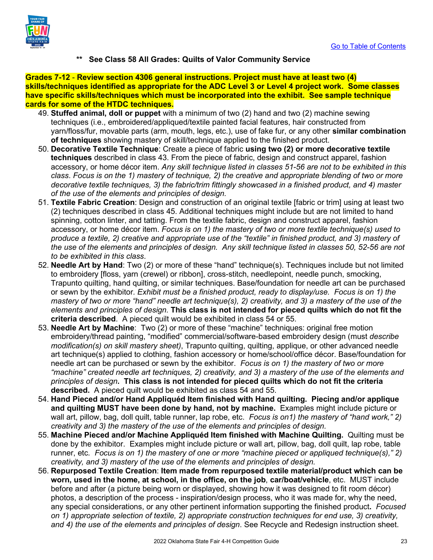

**\*\* See Class 58 All Grades: Quilts of Valor Community Service** 

**Grades 7-12** - **Review section 4306 general instructions. Project must have at least two (4) skills/techniques identified as appropriate for the ADC Level 3 or Level 4 project work. Some classes have specific skills/techniques which must be incorporated into the exhibit. See sample technique cards for some of the HTDC techniques.**

- 49. **Stuffed animal, doll or puppet** with a minimum of two (2) hand and two (2) machine sewing techniques (i.e., embroidered/appliqued/textile painted facial features, hair constructed from yarn/floss/fur, movable parts (arm, mouth, legs, etc.), use of fake fur, or any other **similar combination of techniques** showing mastery of skill/technique applied to the finished product.
- 50. **Decorative Textile Technique**: Create a piece of fabric **using two (2) or more decorative textile techniques** described in class 43. From the piece of fabric, design and construct apparel, fashion accessory, or home décor item. *Any skill technique listed in classes 51-56 are not to be exhibited in this class*. *Focus is on the 1) mastery of technique, 2) the creative and appropriate blending of two or more decorative textile techniques, 3) the fabric/trim fittingly showcased in a finished product, and 4) master of the use of the elements and principles of design.*
- 51. **Textile Fabric Creation**: Design and construction of an original textile [fabric or trim] using at least two (2) techniques described in class 45. Additional techniques might include but are not limited to hand spinning, cotton linter, and tatting. From the textile fabric, design and construct apparel, fashion accessory, or home décor item. *Focus is on 1) the mastery of two or more textile technique(s) used to produce a textile, 2) creative and appropriate use of the "textile" in finished product, and 3) mastery of the use of the elements and principles of design. Any skill technique listed in classes 50, 52-56 are not to be exhibited in this class*.
- 52. **Needle Art by Hand**: Two (2) or more of these "hand" technique(s). Techniques include but not limited to embroidery [floss, yarn (crewel) or ribbon], cross-stitch, needlepoint, needle punch, smocking, Trapunto quilting, hand quilting, or similar techniques. Base/foundation for needle art can be purchased or sewn by the exhibitor*. Exhibit must be a finished product, ready to display/use. Focus is on 1) the mastery of two or more "hand" needle art technique(s), 2) creativity, and 3) a mastery of the use of the elements and principles of design.* **This class is not intended for pieced quilts which do not fit the criteria described**. A pieced quilt would be exhibited in class 54 or 55.
- 53. **Needle Art by Machine**: Two (2) or more of these "machine" techniques: original free motion embroidery/thread painting, "modified" commercial/software-based embroidery design (must *describe modification(s) on skill mastery sheet)*, Trapunto quilting, quilting, applique, or other advanced needle art technique(s) applied to clothing, fashion accessory or home/school/office décor. Base/foundation for needle art can be purchased or sewn by the exhibitor. *Focus is on 1) the mastery of two or more "machine" created needle art techniques, 2) creativity, and 3) a mastery of the use of the elements and principles of design***. This class is not intended for pieced quilts which do not fit the criteria described.** A pieced quilt would be exhibited as class 54 and 55.
- 54. **Hand Pieced and/or Hand Appliquéd Item finished with Hand quilting. Piecing and/or applique and quilting MUST have been done by hand, not by machine.** Examples might include picture or wall art, pillow, bag, doll quilt, table runner, lap robe, etc. *Focus is on1) the mastery of "hand work," 2) creativity and 3) the mastery of the use of the elements and principles of design.*
- 55. **Machine Pieced and/or Machine Appliquéd Item finished with Machine Quilting.** Quilting must be done by the exhibitor. Examples might include picture or wall art, pillow, bag, doll quilt, lap robe, table runner, etc*. Focus is on 1) the mastery of one or more "machine pieced or appliqued technique(s)," 2) creativity, and 3) mastery of the use of the elements and principles of design.*
- 56. **Repurposed Textile Creation**: **Item made from repurposed textile material/product which can be worn, used in the home, at school, in the office, on the job**, **car/boat/vehicle**, etc. MUST include before and after (a picture being worn or displayed, showing how it was designed to fit room décor) photos, a description of the process - inspiration/design process, who it was made for, why the need, any special considerations, or any other pertinent information supporting the finished product**.** *Focused on 1) appropriate selection of textile, 2) appropriate construction techniques for end use, 3) creativity, and 4) the use of the elements and principles of design*. See Recycle and Redesign instruction sheet.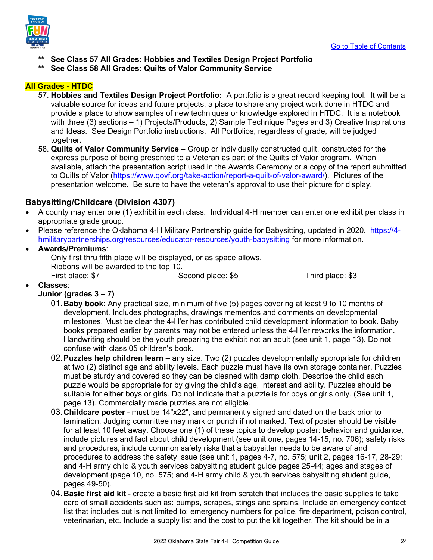

- **\*\* See Class 57 All Grades: Hobbies and Textiles Design Project Portfolio**
- **\*\* See Class 58 All Grades: Quilts of Valor Community Service**

### **All Grades - HTDC**

- 57. **Hobbies and Textiles Design Project Portfolio:** A portfolio is a great record keeping tool. It will be a valuable source for ideas and future projects, a place to share any project work done in HTDC and provide a place to show samples of new techniques or knowledge explored in HTDC. It is a notebook with three (3) sections – 1) Projects/Products, 2) Sample Technique Pages and 3) Creative Inspirations and Ideas. See Design Portfolio instructions. All Portfolios, regardless of grade, will be judged together.
- 58. **Quilts of Valor Community Service** Group or individually constructed quilt, constructed for the express purpose of being presented to a Veteran as part of the Quilts of Valor program. When available, attach the presentation script used in the Awards Ceremony or a copy of the report submitted to Quilts of Valor [\(https://www.qovf.org/take-action/report-a-quilt-of-valor-award/\)](https://www.qovf.org/take-action/report-a-quilt-of-valor-award/). Pictures of the presentation welcome. Be sure to have the veteran's approval to use their picture for display.

### <span id="page-23-0"></span>**Babysitting/Childcare (Division 4307)**

- A county may enter one (1) exhibit in each class. Individual 4-H member can enter one exhibit per class in appropriate grade group.
- Please reference the Oklahoma 4-H Military Partnership guide for Babysitting, updated in 2020. [https://4](https://4-hmilitarypartnerships.org/resources/educator-resources/youth-babysitting) [hmilitarypartnerships.org/resources/educator-resources/youth-babysitting](https://4-hmilitarypartnerships.org/resources/educator-resources/youth-babysitting) for more information.
	- **Awards/Premiums**: Only first thru fifth place will be displayed, or as space allows. Ribbons will be awarded to the top 10.<br>First place: \$7 Se Second place: \$5 Third place: \$3

• **Classes**:

### **Junior (grades 3 – 7)**

- 01.**Baby book**: Any practical size, minimum of five (5) pages covering at least 9 to 10 months of development. Includes photographs, drawings mementos and comments on developmental milestones. Must be clear the 4-H'er has contributed child development information to book. Baby books prepared earlier by parents may not be entered unless the 4-H'er reworks the information. Handwriting should be the youth preparing the exhibit not an adult (see unit 1, page 13). Do not confuse with class 05 children's book.
- 02.**Puzzles help children learn** any size. Two (2) puzzles developmentally appropriate for children at two (2) distinct age and ability levels. Each puzzle must have its own storage container. Puzzles must be sturdy and covered so they can be cleaned with damp cloth. Describe the child each puzzle would be appropriate for by giving the child's age, interest and ability. Puzzles should be suitable for either boys or girls. Do not indicate that a puzzle is for boys or girls only. (See unit 1, page 13). Commercially made puzzles are not eligible.
- 03.**Childcare poster** must be 14"x22", and permanently signed and dated on the back prior to lamination. Judging committee may mark or punch if not marked. Text of poster should be visible for at least 10 feet away. Choose one (1) of these topics to develop poster: behavior and guidance, include pictures and fact about child development (see unit one, pages 14-15, no. 706); safety risks and procedures, include common safety risks that a babysitter needs to be aware of and procedures to address the safety issue (see unit 1, pages 4-7, no. 575; unit 2, pages 16-17, 28-29; and 4-H army child & youth services babysitting student guide pages 25-44; ages and stages of development (page 10, no. 575; and 4-H army child & youth services babysitting student guide, pages 49-50).
- 04.**Basic first aid kit** create a basic first aid kit from scratch that includes the basic supplies to take care of small accidents such as: bumps, scrapes, stings and sprains. Include an emergency contact list that includes but is not limited to: emergency numbers for police, fire department, poison control, veterinarian, etc. Include a supply list and the cost to put the kit together. The kit should be in a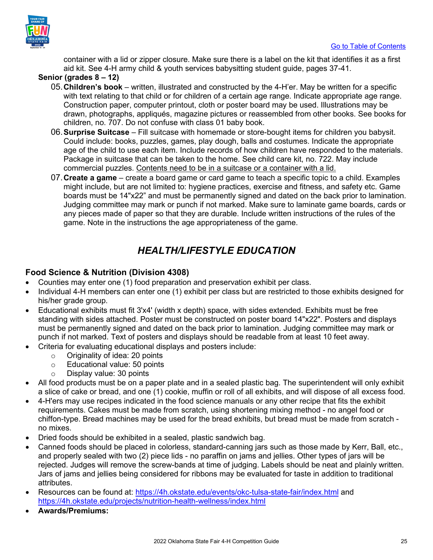

container with a lid or zipper closure. Make sure there is a label on the kit that identifies it as a first aid kit. See 4-H army child & youth services babysitting student guide, pages 37-41.

### **Senior (grades 8 – 12)**

- 05.**Children's book** written, illustrated and constructed by the 4-H'er. May be written for a specific with text relating to that child or for children of a certain age range. Indicate appropriate age range. Construction paper, computer printout, cloth or poster board may be used. Illustrations may be drawn, photographs, appliqués, magazine pictures or reassembled from other books. See books for children, no. 707. Do not confuse with class 01 baby book.
- 06.**Surprise Suitcase** Fill suitcase with homemade or store-bought items for children you babysit. Could include: books, puzzles, games, play dough, balls and costumes. Indicate the appropriate age of the child to use each item. Include records of how children have responded to the materials. Package in suitcase that can be taken to the home. See child care kit, no. 722. May include commercial puzzles. Contents need to be in a suitcase or a container with a lid.
- 07.**Create a game**  create a board game or card game to teach a specific topic to a child. Examples might include, but are not limited to: hygiene practices, exercise and fitness, and safety etc. Game boards must be 14"x22" and must be permanently signed and dated on the back prior to lamination. Judging committee may mark or punch if not marked. Make sure to laminate game boards, cards or any pieces made of paper so that they are durable. Include written instructions of the rules of the game. Note in the instructions the age appropriateness of the game.

### *HEALTH/LIFESTYLE EDUCATION*

### <span id="page-24-1"></span><span id="page-24-0"></span>**Food Science & Nutrition (Division 4308)**

- Counties may enter one (1) food preparation and preservation exhibit per class.
- Individual 4-H members can enter one (1) exhibit per class but are restricted to those exhibits designed for his/her grade group.
- Educational exhibits must fit 3'x4' (width x depth) space, with sides extended. Exhibits must be free standing with sides attached. Poster must be constructed on poster board 14"x22". Posters and displays must be permanently signed and dated on the back prior to lamination. Judging committee may mark or punch if not marked. Text of posters and displays should be readable from at least 10 feet away.
- Criteria for evaluating educational displays and posters include:
	- $\circ$  Originality of idea: 20 points<br> $\circ$  Educational value: 50 points
	- o Educational value: 50 points<br>○ Display value: 30 points
		- Display value: 30 points
- All food products must be on a paper plate and in a sealed plastic bag. The superintendent will only exhibit a slice of cake or bread, and one (1) cookie, muffin or roll of all exhibits, and will dispose of all excess food.
- 4-H'ers may use recipes indicated in the food science manuals or any other recipe that fits the exhibit requirements. Cakes must be made from scratch, using shortening mixing method - no angel food or chiffon-type. Bread machines may be used for the bread exhibits, but bread must be made from scratch no mixes.
- Dried foods should be exhibited in a sealed, plastic sandwich bag.
- Canned foods should be placed in colorless, standard-canning jars such as those made by Kerr, Ball, etc., and properly sealed with two (2) piece lids - no paraffin on jams and jellies. Other types of jars will be rejected. Judges will remove the screw-bands at time of judging. Labels should be neat and plainly written. Jars of jams and jellies being considered for ribbons may be evaluated for taste in addition to traditional attributes.
- Resources can be found at:<https://4h.okstate.edu/events/okc-tulsa-state-fair/index.html> and <https://4h.okstate.edu/projects/nutrition-health-wellness/index.html>
- **Awards/Premiums:**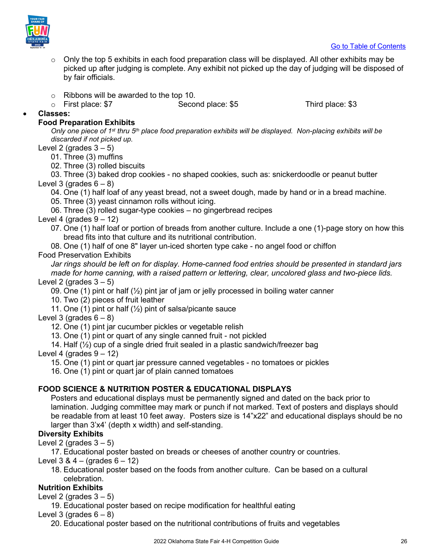

- o Only the top 5 exhibits in each food preparation class will be displayed. All other exhibits may be picked up after judging is complete. Any exhibit not picked up the day of judging will be disposed of by fair officials.
- 
- $\circ$  Ribbons will be awarded to the top 10.<br> $\circ$  First place: \$7 Second place: \$5 o First place: \$7 Second place: \$5 Third place: \$3

• **Classes:**

### **Food Preparation Exhibits**

*Only one piece of 1st thru 5th place food preparation exhibits will be displayed. Non-placing exhibits will be discarded if not picked up.* 

Level 2 (grades  $3 - 5$ )

01. Three (3) muffins

02. Three (3) rolled biscuits

03. Three (3) baked drop cookies - no shaped cookies, such as: snickerdoodle or peanut butter Level 3 (grades  $6 - 8$ )

04. One (1) half loaf of any yeast bread, not a sweet dough, made by hand or in a bread machine.

05. Three (3) yeast cinnamon rolls without icing.

06. Three (3) rolled sugar-type cookies – no gingerbread recipes

- Level 4 (grades  $9 12$ )
	- 07. One (1) half loaf or portion of breads from another culture. Include a one (1)-page story on how this bread fits into that culture and its nutritional contribution.
	- 08. One (1) half of one 8" layer un-iced shorten type cake no angel food or chiffon

### Food Preservation Exhibits

*Jar rings should be left on for display. Home-canned food entries should be presented in standard jars made for home canning, with a raised pattern or lettering, clear, uncolored glass and two-piece lids.* Level 2 (grades  $3 - 5$ )

09. One (1) pint or half  $\binom{1}{2}$  pint jar of jam or jelly processed in boiling water canner

10. Two (2) pieces of fruit leather

11. One (1) pint or half  $(\frac{1}{2})$  pint of salsa/picante sauce

Level 3 (grades  $6 - 8$ )

12. One (1) pint jar cucumber pickles or vegetable relish

13. One (1) pint or quart of any single canned fruit - not pickled

14. Half  $(\frac{1}{2})$  cup of a single dried fruit sealed in a plastic sandwich/freezer bag

Level 4 (grades  $9 - 12$ )

15. One (1) pint or quart jar pressure canned vegetables - no tomatoes or pickles

16. One (1) pint or quart jar of plain canned tomatoes

### **FOOD SCIENCE & NUTRITION POSTER & EDUCATIONAL DISPLAYS**

Posters and educational displays must be permanently signed and dated on the back prior to lamination. Judging committee may mark or punch if not marked. Text of posters and displays should be readable from at least 10 feet away. Posters size is 14"x22" and educational displays should be no larger than 3'x4' (depth x width) and self-standing.

### **Diversity Exhibits**

Level 2 (grades  $3 - 5$ )

17. Educational poster basted on breads or cheeses of another country or countries.

Level  $3 & 4 - (q \cdot 6) & 6 - 12$ 

18. Educational poster based on the foods from another culture. Can be based on a cultural celebration.

### **Nutrition Exhibits**

Level 2 (grades  $3-5$ )

19. Educational poster based on recipe modification for healthful eating

Level 3 (grades  $6 - 8$ )

20. Educational poster based on the nutritional contributions of fruits and vegetables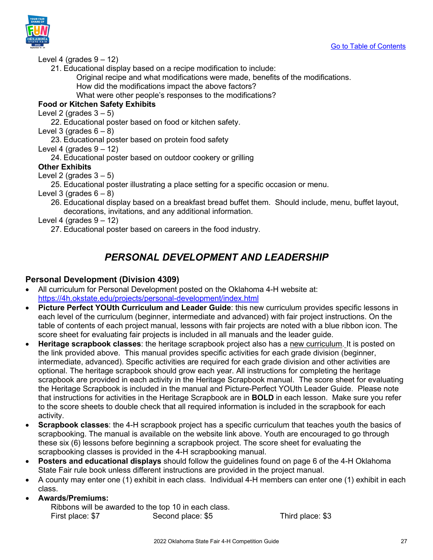



### Level 4 (grades  $9 - 12$ )

21. Educational display based on a recipe modification to include:

Original recipe and what modifications were made, benefits of the modifications. How did the modifications impact the above factors?

What were other people's responses to the modifications?

### **Food or Kitchen Safety Exhibits**

Level 2 (grades  $3 - 5$ )

22. Educational poster based on food or kitchen safety.

Level 3 (grades  $6 - 8$ )

23. Educational poster based on protein food safety

Level 4 (grades  $9 - 12$ )

24. Educational poster based on outdoor cookery or grilling

### **Other Exhibits**

Level 2 (grades  $3 - 5$ )

25. Educational poster illustrating a place setting for a specific occasion or menu.

Level 3 (grades  $6 - 8$ )

26. Educational display based on a breakfast bread buffet them. Should include, menu, buffet layout, decorations, invitations, and any additional information.

<span id="page-26-0"></span>Level 4 (grades  $9 - 12$ )

27. Educational poster based on careers in the food industry.

### *PERSONAL DEVELOPMENT AND LEADERSHIP*

### <span id="page-26-1"></span>**Personal Development (Division 4309)**

- All curriculum for Personal Development posted on the Oklahoma 4-H website at: <https://4h.okstate.edu/projects/personal-development/index.html>
- **Picture Perfect YOUth Curriculum and Leader Guide**: this new curriculum provides specific lessons in each level of the curriculum (beginner, intermediate and advanced) with fair project instructions. On the table of contents of each project manual, lessons with fair projects are noted with a blue ribbon icon. The score sheet for evaluating fair projects is included in all manuals and the leader guide.
- **Heritage scrapbook classes**: the heritage scrapbook project also has a new curriculum. It is posted on the link provided above. This manual provides specific activities for each grade division (beginner, intermediate, advanced). Specific activities are required for each grade division and other activities are optional. The heritage scrapbook should grow each year. All instructions for completing the heritage scrapbook are provided in each activity in the Heritage Scrapbook manual. The score sheet for evaluating the Heritage Scrapbook is included in the manual and Picture-Perfect YOUth Leader Guide. Please note that instructions for activities in the Heritage Scrapbook are in **BOLD** in each lesson. Make sure you refer to the score sheets to double check that all required information is included in the scrapbook for each activity.
- **Scrapbook classes**: the 4-H scrapbook project has a specific curriculum that teaches youth the basics of scrapbooking. The manual is available on the website link above. Youth are encouraged to go through these six (6) lessons before beginning a scrapbook project. The score sheet for evaluating the scrapbooking classes is provided in the 4-H scrapbooking manual.
- **Posters and educational displays** should follow the guidelines found on page 6 of the 4-H Oklahoma State Fair rule book unless different instructions are provided in the project manual.
- A county may enter one (1) exhibit in each class. Individual 4-H members can enter one (1) exhibit in each class.

### • **Awards/Premiums:**

Ribbons will be awarded to the top 10 in each class. First place: \$7 Second place: \$5 Third place: \$3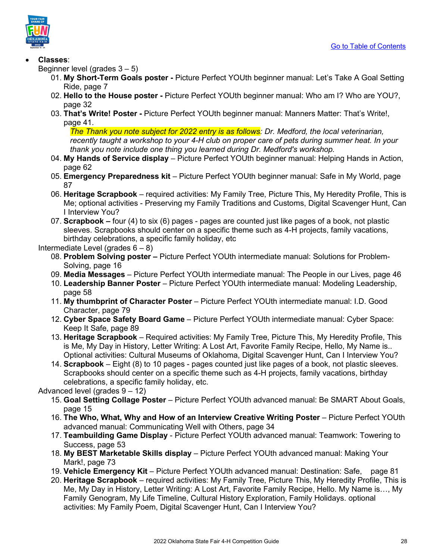

### • **Classes**:

- Beginner level (grades 3 5)
	- 01. **My Short-Term Goals poster** Picture Perfect YOUth beginner manual: Let's Take A Goal Setting Ride, page 7
	- 02. **Hello to the House poster** Picture Perfect YOUth beginner manual: Who am I? Who are YOU?, page 32
	- 03. **That's Write! Poster** Picture Perfect YOUth beginner manual: Manners Matter: That's Write!, page 41.

*The Thank you note subject for 2022 entry is as follows: Dr. Medford, the local veterinarian, recently taught a workshop to your 4-H club on proper care of pets during summer heat. In your thank you note include one thing you learned during Dr. Medford's workshop.* 

- 04. **My Hands of Service display** Picture Perfect YOUth beginner manual: Helping Hands in Action, page 62
- 05. **Emergency Preparedness kit** Picture Perfect YOUth beginner manual: Safe in My World, page 87
- 06. **Heritage Scrapbook** required activities: My Family Tree, Picture This, My Heredity Profile, This is Me; optional activities - Preserving my Family Traditions and Customs, Digital Scavenger Hunt, Can I Interview You?
- 07. **Scrapbook** four (4) to six (6) pages pages are counted just like pages of a book, not plastic sleeves. Scrapbooks should center on a specific theme such as 4-H projects, family vacations, birthday celebrations, a specific family holiday, etc

Intermediate Level (grades  $6 - 8$ )

- 08. **Problem Solving poster –** Picture Perfect YOUth intermediate manual: Solutions for Problem-Solving, page 16
- 09. **Media Messages** Picture Perfect YOUth intermediate manual: The People in our Lives, page 46
- 10. **Leadership Banner Poster** Picture Perfect YOUth intermediate manual: Modeling Leadership, page 58
- 11. **My thumbprint of Character Poster** Picture Perfect YOUth intermediate manual: I.D. Good Character, page 79
- 12. **Cyber Space Safety Board Game** Picture Perfect YOUth intermediate manual: Cyber Space: Keep It Safe, page 89
- 13. **Heritage Scrapbook** Required activities: My Family Tree, Picture This, My Heredity Profile, This is Me, My Day in History, Letter Writing: A Lost Art, Favorite Family Recipe, Hello, My Name is.. Optional activities: Cultural Museums of Oklahoma, Digital Scavenger Hunt, Can I Interview You?
- 14. **Scrapbook** Eight (8) to 10 pages pages counted just like pages of a book, not plastic sleeves. Scrapbooks should center on a specific theme such as 4-H projects, family vacations, birthday celebrations, a specific family holiday, etc.

Advanced level (grades 9 – 12)

- 15. **Goal Setting Collage Poster** Picture Perfect YOUth advanced manual: Be SMART About Goals, page 15
- 16. **The Who, What, Why and How of an Interview Creative Writing Poster** Picture Perfect YOUth advanced manual: Communicating Well with Others, page 34
- 17. **Teambuilding Game Display** Picture Perfect YOUth advanced manual: Teamwork: Towering to Success, page 53
- 18. **My BEST Marketable Skills display** Picture Perfect YOUth advanced manual: Making Your Mark!, page 73
- 19. **Vehicle Emergency Kit** Picture Perfect YOUth advanced manual: Destination: Safe, page 81
- 20. **Heritage Scrapbook** required activities: My Family Tree, Picture This, My Heredity Profile, This is Me, My Day in History, Letter Writing: A Lost Art, Favorite Family Recipe, Hello. My Name is…, My Family Genogram, My Life Timeline, Cultural History Exploration, Family Holidays. optional activities: My Family Poem, Digital Scavenger Hunt, Can I Interview You?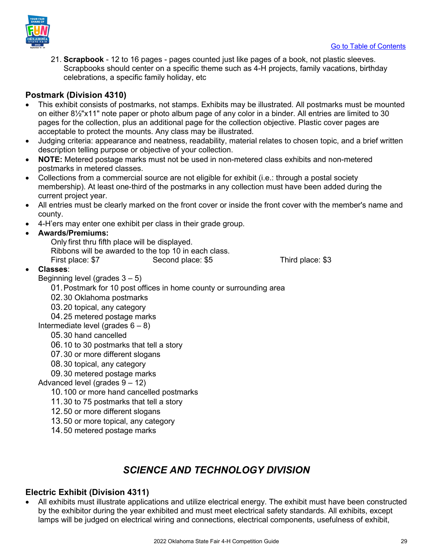

21. **Scrapbook** - 12 to 16 pages - pages counted just like pages of a book, not plastic sleeves. Scrapbooks should center on a specific theme such as 4-H projects, family vacations, birthday celebrations, a specific family holiday, etc

### <span id="page-28-0"></span>**Postmark (Division 4310)**

- This exhibit consists of postmarks, not stamps. Exhibits may be illustrated. All postmarks must be mounted on either 8½"x11" note paper or photo album page of any color in a binder. All entries are limited to 30 pages for the collection, plus an additional page for the collection objective. Plastic cover pages are acceptable to protect the mounts. Any class may be illustrated.
- Judging criteria: appearance and neatness, readability, material relates to chosen topic, and a brief written description telling purpose or objective of your collection.
- **NOTE:** Metered postage marks must not be used in non-metered class exhibits and non-metered postmarks in metered classes.
- Collections from a commercial source are not eligible for exhibit (i.e.: through a postal society membership). At least one-third of the postmarks in any collection must have been added during the current project year.
- All entries must be clearly marked on the front cover or inside the front cover with the member's name and county.
- 4-H'ers may enter one exhibit per class in their grade group.

### • **Awards/Premiums:**

- Only first thru fifth place will be displayed. Ribbons will be awarded to the top 10 in each class.
- First place: \$7 Second place: \$5 Third place: \$3

### • **Classes**:

Beginning level (grades  $3 - 5$ )

01.Postmark for 10 post offices in home county or surrounding area

- 02.30 Oklahoma postmarks
- 03.20 topical, any category

04.25 metered postage marks

Intermediate level (grades  $6 - 8$ )

### 05.30 hand cancelled

- 06.10 to 30 postmarks that tell a story
- 07.30 or more different slogans
- 08.30 topical, any category
- 09.30 metered postage marks

### Advanced level (grades 9 – 12)

- 10.100 or more hand cancelled postmarks
- 11.30 to 75 postmarks that tell a story
- 12.50 or more different slogans
- 13.50 or more topical, any category
- 14.50 metered postage marks

### *SCIENCE AND TECHNOLOGY DIVISION*

### <span id="page-28-2"></span><span id="page-28-1"></span>**Electric Exhibit (Division 4311)**

• All exhibits must illustrate applications and utilize electrical energy. The exhibit must have been constructed by the exhibitor during the year exhibited and must meet electrical safety standards. All exhibits, except lamps will be judged on electrical wiring and connections, electrical components, usefulness of exhibit,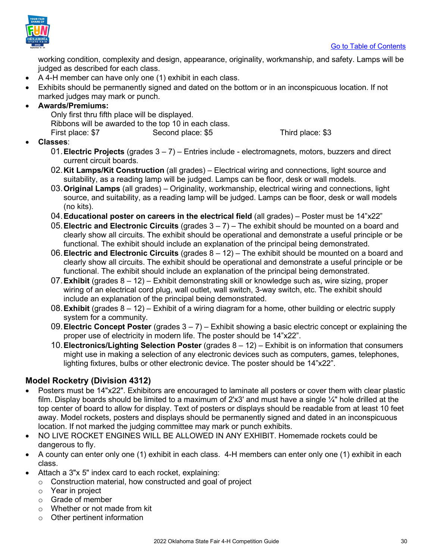

working condition, complexity and design, appearance, originality, workmanship, and safety. Lamps will be judged as described for each class.

- A 4-H member can have only one (1) exhibit in each class.
- Exhibits should be permanently signed and dated on the bottom or in an inconspicuous location. If not marked judges may mark or punch.

### • **Awards/Premiums:**

Only first thru fifth place will be displayed. Ribbons will be awarded to the top 10 in each class. First place: \$7 Second place: \$5 Third place: \$3

### • **Classes**:

- 01.**Electric Projects** (grades 3 7) Entries include electromagnets, motors, buzzers and direct current circuit boards.
- 02.**Kit Lamps/Kit Construction** (all grades) Electrical wiring and connections, light source and suitability, as a reading lamp will be judged. Lamps can be floor, desk or wall models.
- 03.**Original Lamps** (all grades) Originality, workmanship, electrical wiring and connections, light source, and suitability, as a reading lamp will be judged. Lamps can be floor, desk or wall models (no kits).
- 04.**Educational poster on careers in the electrical field** (all grades) Poster must be 14"x22"
- 05.**Electric and Electronic Circuits** (grades 3 7) The exhibit should be mounted on a board and clearly show all circuits. The exhibit should be operational and demonstrate a useful principle or be functional. The exhibit should include an explanation of the principal being demonstrated.
- 06.**Electric and Electronic Circuits** (grades 8 12) The exhibit should be mounted on a board and clearly show all circuits. The exhibit should be operational and demonstrate a useful principle or be functional. The exhibit should include an explanation of the principal being demonstrated.
- 07.**Exhibit** (grades 8 12) Exhibit demonstrating skill or knowledge such as, wire sizing, proper wiring of an electrical cord plug, wall outlet, wall switch, 3-way switch, etc. The exhibit should include an explanation of the principal being demonstrated.
- 08.**Exhibit** (grades 8 12) Exhibit of a wiring diagram for a home, other building or electric supply system for a community.
- 09.**Electric Concept Poster** (grades 3 7) Exhibit showing a basic electric concept or explaining the proper use of electricity in modern life. The poster should be 14"x22".
- 10.**Electronics/Lighting Selection Poster** (grades 8 12) Exhibit is on information that consumers might use in making a selection of any electronic devices such as computers, games, telephones, lighting fixtures, bulbs or other electronic device. The poster should be 14"x22".

### <span id="page-29-0"></span>**Model Rocketry (Division 4312)**

- Posters must be 14"x22". Exhibitors are encouraged to laminate all posters or cover them with clear plastic film. Display boards should be limited to a maximum of 2'x3' and must have a single  $\frac{1}{4}$ " hole drilled at the top center of board to allow for display. Text of posters or displays should be readable from at least 10 feet away. Model rockets, posters and displays should be permanently signed and dated in an inconspicuous location. If not marked the judging committee may mark or punch exhibits.
- NO LIVE ROCKET ENGINES WILL BE ALLOWED IN ANY EXHIBIT. Homemade rockets could be dangerous to fly.
- A county can enter only one (1) exhibit in each class. 4-H members can enter only one (1) exhibit in each class.
- Attach a 3"x 5" index card to each rocket, explaining:
	- o Construction material, how constructed and goal of project
	- o Year in project
	- o Grade of member
	- o Whether or not made from kit
	- o Other pertinent information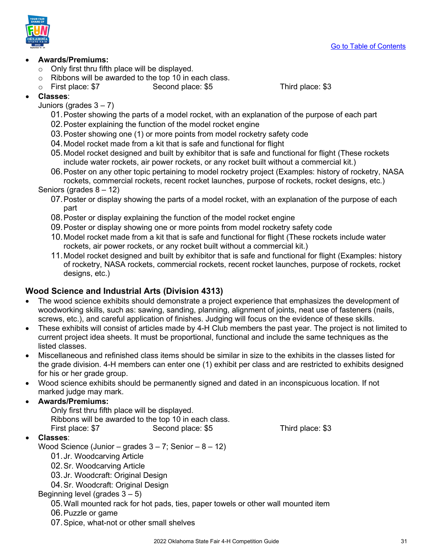

### • **Awards/Premiums:**

- $\circ$  Only first thru fifth place will be displayed.
- $\circ$  Ribbons will be awarded to the top 10 in each class.<br>  $\circ$  First place: \$7 Second place: \$5
- o First place: \$7 Second place: \$5 Third place: \$3

• **Classes**:

Juniors (grades  $3 - 7$ )

- 01.Poster showing the parts of a model rocket, with an explanation of the purpose of each part
- 02.Poster explaining the function of the model rocket engine
- 03.Poster showing one (1) or more points from model rocketry safety code
- 04.Model rocket made from a kit that is safe and functional for flight
- 05.Model rocket designed and built by exhibitor that is safe and functional for flight (These rockets include water rockets, air power rockets, or any rocket built without a commercial kit.)
- 06.Poster on any other topic pertaining to model rocketry project (Examples: history of rocketry, NASA rockets, commercial rockets, recent rocket launches, purpose of rockets, rocket designs, etc.)

Seniors (grades 8 – 12)

- 07.Poster or display showing the parts of a model rocket, with an explanation of the purpose of each part
- 08.Poster or display explaining the function of the model rocket engine
- 09.Poster or display showing one or more points from model rocketry safety code
- 10.Model rocket made from a kit that is safe and functional for flight (These rockets include water rockets, air power rockets, or any rocket built without a commercial kit.)
- 11.Model rocket designed and built by exhibitor that is safe and functional for flight (Examples: history of rocketry, NASA rockets, commercial rockets, recent rocket launches, purpose of rockets, rocket designs, etc.)

### <span id="page-30-0"></span>**Wood Science and Industrial Arts (Division 4313)**

- The wood science exhibits should demonstrate a project experience that emphasizes the development of woodworking skills, such as: sawing, sanding, planning, alignment of joints, neat use of fasteners (nails, screws, etc.), and careful application of finishes. Judging will focus on the evidence of these skills.
- These exhibits will consist of articles made by 4-H Club members the past year. The project is not limited to current project idea sheets. It must be proportional, functional and include the same techniques as the listed classes.
- Miscellaneous and refinished class items should be similar in size to the exhibits in the classes listed for the grade division. 4-H members can enter one (1) exhibit per class and are restricted to exhibits designed for his or her grade group.
- Wood science exhibits should be permanently signed and dated in an inconspicuous location. If not marked judge may mark.

### • **Awards/Premiums:**

Only first thru fifth place will be displayed. Ribbons will be awarded to the top 10 in each class. First place: \$7 Second place: \$5 Third place: \$3

### • **Classes**:

Wood Science (Junior – grades  $3 - 7$ ; Senior –  $8 - 12$ )

- 01.Jr. Woodcarving Article
- 02.Sr. Woodcarving Article
- 03.Jr. Woodcraft: Original Design
- 04.Sr. Woodcraft: Original Design

### Beginning level (grades 3 – 5)

- 05.Wall mounted rack for hot pads, ties, paper towels or other wall mounted item
- 06.Puzzle or game
- 07.Spice, what-not or other small shelves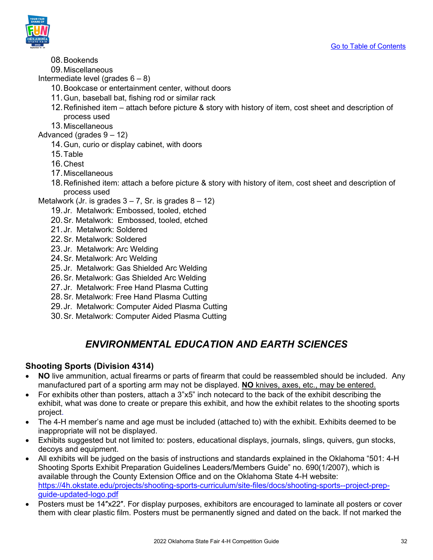

- 08.Bookends
- 09.Miscellaneous

Intermediate level (grades  $6 - 8$ )

- 10.Bookcase or entertainment center, without doors
- 11.Gun, baseball bat, fishing rod or similar rack
- 12.Refinished item attach before picture & story with history of item, cost sheet and description of process used
- 13.Miscellaneous

Advanced (grades 9 – 12)

- 14.Gun, curio or display cabinet, with doors
- 15.Table
- 16.Chest
- 17.Miscellaneous
- 18.Refinished item: attach a before picture & story with history of item, cost sheet and description of process used
- Metalwork (Jr. is grades  $3 7$ , Sr. is grades  $8 12$ )
	- 19.Jr. Metalwork: Embossed, tooled, etched
	- 20.Sr. Metalwork: Embossed, tooled, etched
	- 21.Jr. Metalwork: Soldered
	- 22.Sr. Metalwork: Soldered
	- 23.Jr. Metalwork: Arc Welding
	- 24.Sr. Metalwork: Arc Welding
	- 25.Jr. Metalwork: Gas Shielded Arc Welding
	- 26.Sr. Metalwork: Gas Shielded Arc Welding
	- 27.Jr. Metalwork: Free Hand Plasma Cutting
	- 28.Sr. Metalwork: Free Hand Plasma Cutting
	- 29.Jr. Metalwork: Computer Aided Plasma Cutting
	- 30.Sr. Metalwork: Computer Aided Plasma Cutting

### *ENVIRONMENTAL EDUCATION AND EARTH SCIENCES*

### <span id="page-31-1"></span><span id="page-31-0"></span>**Shooting Sports (Division 4314)**

- **NO** live ammunition, actual firearms or parts of firearm that could be reassembled should be included. Any manufactured part of a sporting arm may not be displayed. **NO** knives, axes, etc., may be entered.
- For exhibits other than posters, attach a 3"x5" inch notecard to the back of the exhibit describing the exhibit, what was done to create or prepare this exhibit, and how the exhibit relates to the shooting sports project.
- The 4-H member's name and age must be included (attached to) with the exhibit. Exhibits deemed to be inappropriate will not be displayed.
- Exhibits suggested but not limited to: posters, educational displays, journals, slings, quivers, gun stocks, decoys and equipment.
- All exhibits will be judged on the basis of instructions and standards explained in the Oklahoma "501: 4-H Shooting Sports Exhibit Preparation Guidelines Leaders/Members Guide" no. 690(1/2007), which is available through the County Extension Office and on the Oklahoma State 4-H website: [https://4h.okstate.edu/projects/shooting-sports-curriculum/site-files/docs/shooting-sports--project-prep](https://4h.okstate.edu/projects/shooting-sports-curriculum/site-files/docs/shooting-sports--project-prep-guide-updated-logo.pdf)[guide-updated-logo.pdf](https://4h.okstate.edu/projects/shooting-sports-curriculum/site-files/docs/shooting-sports--project-prep-guide-updated-logo.pdf)
- Posters must be 14″x22″. For display purposes, exhibitors are encouraged to laminate all posters or cover them with clear plastic film. Posters must be permanently signed and dated on the back. If not marked the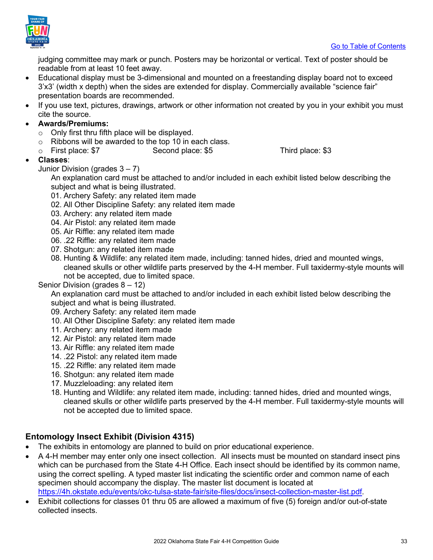

judging committee may mark or punch. Posters may be horizontal or vertical. Text of poster should be readable from at least 10 feet away.

- Educational display must be 3-dimensional and mounted on a freestanding display board not to exceed 3'x3' (width x depth) when the sides are extended for display. Commercially available "science fair" presentation boards are recommended.
- If you use text, pictures, drawings, artwork or other information not created by you in your exhibit you must cite the source.
- **Awards/Premiums:** 
	- $\circ$  Only first thru fifth place will be displayed.
	- $\circ$  Ribbons will be awarded to the top 10 in each class.<br>  $\circ$  First place: \$7 Second place: \$5
	- o First place: \$7 Second place: \$5 Third place: \$3
- **Classes**:
	- Junior Division (grades 3 7)

An explanation card must be attached to and/or included in each exhibit listed below describing the subject and what is being illustrated.

- 01. Archery Safety: any related item made
- 02. All Other Discipline Safety: any related item made
- 03. Archery: any related item made
- 04. Air Pistol: any related item made
- 05. Air Riffle: any related item made
- 06. .22 Riffle: any related item made
- 07. Shotgun: any related item made
- 08. Hunting & Wildlife: any related item made, including: tanned hides, dried and mounted wings, cleaned skulls or other wildlife parts preserved by the 4-H member. Full taxidermy-style mounts will not be accepted, due to limited space.

### Senior Division (grades  $8 - 12$ )

An explanation card must be attached to and/or included in each exhibit listed below describing the subject and what is being illustrated.

- 09. Archery Safety: any related item made
- 10. All Other Discipline Safety: any related item made
- 11. Archery: any related item made
- 12. Air Pistol: any related item made
- 13. Air Riffle: any related item made
- 14. .22 Pistol: any related item made
- 15. .22 Riffle: any related item made
- 16. Shotgun: any related item made
- 17. Muzzleloading: any related item
- 18. Hunting and Wildlife: any related item made, including: tanned hides, dried and mounted wings, cleaned skulls or other wildlife parts preserved by the 4-H member. Full taxidermy-style mounts will not be accepted due to limited space.

### <span id="page-32-0"></span>**Entomology Insect Exhibit (Division 4315)**

- The exhibits in entomology are planned to build on prior educational experience.
- A 4-H member may enter only one insect collection. All insects must be mounted on standard insect pins which can be purchased from the State 4-H Office. Each insect should be identified by its common name, using the correct spelling. A typed master list indicating the scientific order and common name of each specimen should accompany the display. The master list document is located at [https://4h.okstate.edu/events/okc-tulsa-state-fair/site-files/docs/insect-collection-master-list.pdf.](https://4h.okstate.edu/events/okc-tulsa-state-fair/site-files/docs/insect-collection-master-list.pdf)
- Exhibit collections for classes 01 thru 05 are allowed a maximum of five (5) foreign and/or out-of-state collected insects.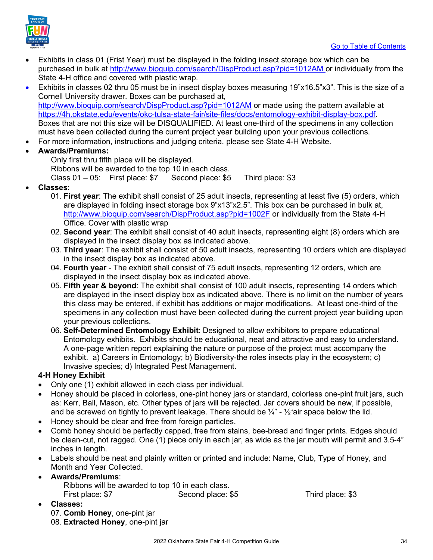

- Exhibits in class 01 (Frist Year) must be displayed in the folding insect storage box which can be purchased in bulk at<http://www.bioquip.com/search/DispProduct.asp?pid=1012AM> or individually from the State 4-H office and covered with plastic wrap.
- Exhibits in classes 02 thru 05 must be in insect display boxes measuring 19"x16.5"x3". This is the size of a Cornell University drawer. Boxes can be purchased at, <http://www.bioquip.com/search/DispProduct.asp?pid=1012AM> or made using the pattern available at [https://4h.okstate.edu/events/okc-tulsa-state-fair/site-files/docs/entomology-exhibit-display-box.pdf.](https://4h.okstate.edu/events/okc-tulsa-state-fair/site-files/docs/entomology-exhibit-display-box.pdf) Boxes that are not this size will be DISQUALIFIED. At least one-third of the specimens in any collection must have been collected during the current project year building upon your previous collections.
- For more information, instructions and judging criteria, please see State 4-H Website.
- **Awards/Premiums:**

Only first thru fifth place will be displayed.

Ribbons will be awarded to the top 10 in each class.

Class 01 – 05: First place: \$7 Second place: \$5 Third place: \$3

- **Classes**:
	- 01. **First year**: The exhibit shall consist of 25 adult insects, representing at least five (5) orders, which are displayed in folding insect storage box 9"x13"x2.5". This box can be purchased in bulk at, <http://www.bioquip.com/search/DispProduct.asp?pid=1002F> or individually from the State 4-H Office. Cover with plastic wrap
	- 02. **Second year**: The exhibit shall consist of 40 adult insects, representing eight (8) orders which are displayed in the insect display box as indicated above.
	- 03. **Third year**: The exhibit shall consist of 50 adult insects, representing 10 orders which are displayed in the insect display box as indicated above.
	- 04. **Fourth year** The exhibit shall consist of 75 adult insects, representing 12 orders, which are displayed in the insect display box as indicated above.
	- 05. **Fifth year & beyond**: The exhibit shall consist of 100 adult insects, representing 14 orders which are displayed in the insect display box as indicated above. There is no limit on the number of years this class may be entered, if exhibit has additions or major modifications. At least one-third of the specimens in any collection must have been collected during the current project year building upon your previous collections.
	- 06. **Self-Determined Entomology Exhibit**: Designed to allow exhibitors to prepare educational Entomology exhibits. Exhibits should be educational, neat and attractive and easy to understand. A one-page written report explaining the nature or purpose of the project must accompany the exhibit. a) Careers in Entomology; b) Biodiversity-the roles insects play in the ecosystem; c) Invasive species; d) Integrated Pest Management.

### **4-H Honey Exhibit**

- Only one (1) exhibit allowed in each class per individual.
- Honey should be placed in colorless, one-pint honey jars or standard, colorless one-pint fruit jars, such as: Kerr, Ball, Mason, etc. Other types of jars will be rejected. Jar covers should be new, if possible, and be screwed on tightly to prevent leakage. There should be  $\frac{1}{4}$ " -  $\frac{1}{2}$ "air space below the lid.
- Honey should be clear and free from foreign particles.
- Comb honey should be perfectly capped, free from stains, bee-bread and finger prints. Edges should be clean-cut, not ragged. One (1) piece only in each jar, as wide as the jar mouth will permit and 3.5-4" inches in length.
- Labels should be neat and plainly written or printed and include: Name, Club, Type of Honey, and Month and Year Collected.
- **Awards/Premiums**: Ribbons will be awarded to top 10 in each class. First place: \$7 Second place: \$5 Third place: \$3
- **Classes:**
	- 07. **Comb Honey**, one-pint jar 08. **Extracted Honey**, one-pint jar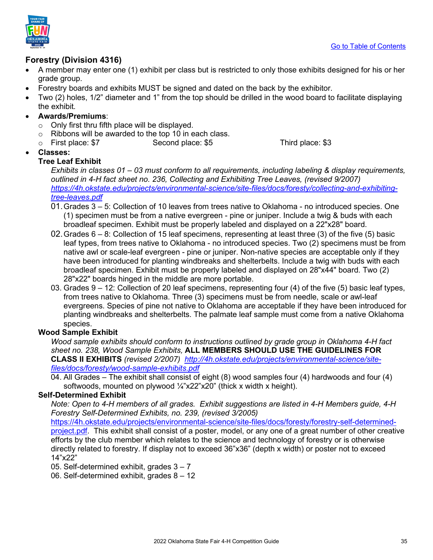



### <span id="page-34-0"></span>**Forestry (Division 4316)**

- A member may enter one (1) exhibit per class but is restricted to only those exhibits designed for his or her grade group.
- Forestry boards and exhibits MUST be signed and dated on the back by the exhibitor.
- Two (2) holes, 1/2" diameter and 1" from the top should be drilled in the wood board to facilitate displaying the exhibit*.*
- **Awards/Premiums**:
	- $\circ$  Only first thru fifth place will be displayed.
	- $\circ$  Ribbons will be awarded to the top 10 in each class.<br>  $\circ$  First place: \$7 Second place: \$5
	- Second place: \$5 Third place: \$3
- **Classes:**

### **Tree Leaf Exhibit**

*Exhibits in classes 01 – 03 must conform to all requirements, including labeling & display requirements, outlined in 4-H fact sheet no. 236, Collecting and Exhibiting Tree Leaves, (revised 9/2007) [https://4h.okstate.edu/projects/environmental-science/site-files/docs/foresty/collecting-and-exhibiting](https://4h.okstate.edu/projects/environmental-science/site-files/docs/foresty/collecting-and-exhibiting-tree-leaves.pdf)[tree-leaves.pdf](https://4h.okstate.edu/projects/environmental-science/site-files/docs/foresty/collecting-and-exhibiting-tree-leaves.pdf)* 

- 01.Grades 3 5: Collection of 10 leaves from trees native to Oklahoma no introduced species. One (1) specimen must be from a native evergreen - pine or juniper. Include a twig & buds with each broadleaf specimen. Exhibit must be properly labeled and displayed on a 22"x28" board.
- 02.Grades 6 8: Collection of 15 leaf specimens, representing at least three (3) of the five (5) basic leaf types, from trees native to Oklahoma - no introduced species. Two (2) specimens must be from native awl or scale-leaf evergreen - pine or juniper. Non-native species are acceptable only if they have been introduced for planting windbreaks and shelterbelts. Include a twig with buds with each broadleaf specimen. Exhibit must be properly labeled and displayed on 28"x44" board. Two (2) 28"x22" boards hinged in the middle are more portable.
- 03. Grades 9 12: Collection of 20 leaf specimens, representing four (4) of the five (5) basic leaf types, from trees native to Oklahoma. Three (3) specimens must be from needle, scale or awl-leaf evergreens. Species of pine not native to Oklahoma are acceptable if they have been introduced for planting windbreaks and shelterbelts. The palmate leaf sample must come from a native Oklahoma species.

### **Wood Sample Exhibit**

*Wood sample exhibits should conform to instructions outlined by grade group in Oklahoma 4-H fact sheet no. 238, Wood Sample Exhibits,* **ALL MEMBERS SHOULD USE THE GUIDELINES FOR CLASS II EXHIBITS** *(revised 2/2007) [http://4h.okstate.edu/projects/environmental-science/site](http://4h.okstate.edu/projects/environmental-science/site-files/docs/foresty/wood-sample-exhibits.pdf)[files/docs/foresty/wood-sample-exhibits.pdf](http://4h.okstate.edu/projects/environmental-science/site-files/docs/foresty/wood-sample-exhibits.pdf)*

04. All Grades – The exhibit shall consist of eight (8) wood samples four (4) hardwoods and four (4) softwoods, mounted on plywood  $\frac{1}{4}$ x22"x20" (thick x width x height).

### **Self-Determined Exhibit**

*Note: Open to 4-H members of all grades. Exhibit suggestions are listed in 4-H Members guide, 4-H Forestry Self-Determined Exhibits, no. 239, (revised 3/2005)* 

[https://4h.okstate.edu/projects/environmental-science/site-files/docs/foresty/forestry-self-determined-](https://4h.okstate.edu/projects/environmental-science/site-files/docs/foresty/forestry-self-determined-project.pdf)

[project.pdf.](https://4h.okstate.edu/projects/environmental-science/site-files/docs/foresty/forestry-self-determined-project.pdf) This exhibit shall consist of a poster, model, or any one of a great number of other creative efforts by the club member which relates to the science and technology of forestry or is otherwise directly related to forestry. If display not to exceed 36"x36" (depth x width) or poster not to exceed 14"x22"

05. Self-determined exhibit, grades 3 – 7

06. Self-determined exhibit, grades 8 – 12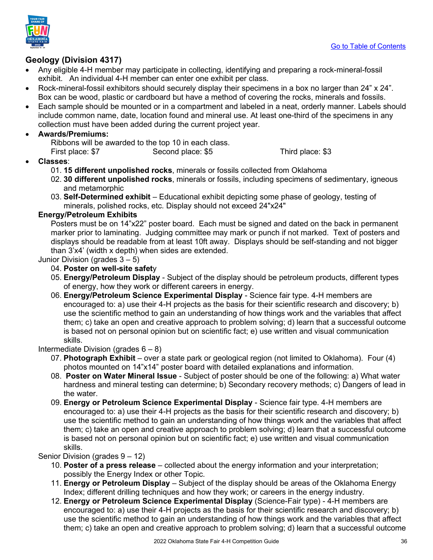

### <span id="page-35-0"></span>**Geology (Division 4317)**

- Any eligible 4-H member may participate in collecting, identifying and preparing a rock-mineral-fossil exhibit. An individual 4-H member can enter one exhibit per class.
- Rock-mineral-fossil exhibitors should securely display their specimens in a box no larger than 24" x 24". Box can be wood, plastic or cardboard but have a method of covering the rocks, minerals and fossils.
- Each sample should be mounted or in a compartment and labeled in a neat, orderly manner. Labels should include common name, date, location found and mineral use. At least one-third of the specimens in any collection must have been added during the current project year.

### • **Awards/Premiums:**

Ribbons will be awarded to the top 10 in each class.<br>First place: \$7 Second place: \$5

Second place: \$5 Third place: \$3

- **Classes**:
	- 01. **15 different unpolished rocks**, minerals or fossils collected from Oklahoma
	- 02. **30 different unpolished rocks**, minerals or fossils, including specimens of sedimentary, igneous and metamorphic
	- 03. **Self-Determined exhibit** Educational exhibit depicting some phase of geology, testing of minerals, polished rocks, etc. Display should not exceed 24"x24"

### **Energy/Petroleum Exhibits**

Posters must be on 14"x22" poster board. Each must be signed and dated on the back in permanent marker prior to laminating. Judging committee may mark or punch if not marked. Text of posters and displays should be readable from at least 10ft away. Displays should be self-standing and not bigger than 3'x4' (width x depth) when sides are extended.

Junior Division (grades 3 – 5)

### 04. **Poster on well-site safet**y

- 05. **Energy/Petroleum Display** Subject of the display should be petroleum products, different types of energy, how they work or different careers in energy.
- 06. **Energy/Petroleum Science Experimental Display** Science fair type. 4-H members are encouraged to: a) use their 4-H projects as the basis for their scientific research and discovery; b) use the scientific method to gain an understanding of how things work and the variables that affect them; c) take an open and creative approach to problem solving; d) learn that a successful outcome is based not on personal opinion but on scientific fact; e) use written and visual communication skills.

### Intermediate Division (grades 6 – 8)

- 07. **Photograph Exhibit** over a state park or geological region (not limited to Oklahoma). Four (4) photos mounted on 14"x14" poster board with detailed explanations and information.
- 08. **Poster on Water Mineral Issue** Subject of poster should be one of the following: a) What water hardness and mineral testing can determine; b) Secondary recovery methods; c) Dangers of lead in the water.
- 09. **Energy or Petroleum Science Experimental Display** Science fair type. 4-H members are encouraged to: a) use their 4-H projects as the basis for their scientific research and discovery; b) use the scientific method to gain an understanding of how things work and the variables that affect them; c) take an open and creative approach to problem solving; d) learn that a successful outcome is based not on personal opinion but on scientific fact; e) use written and visual communication skills.

Senior Division (grades 9 – 12)

- 10. **Poster of a press release** collected about the energy information and your interpretation; possibly the Energy Index or other Topic.
- 11. **Energy or Petroleum Display** Subject of the display should be areas of the Oklahoma Energy Index; different drilling techniques and how they work; or careers in the energy industry.
- 12. **Energy or Petroleum Science Experimental Display** (Science-Fair type) 4-H members are encouraged to: a) use their 4-H projects as the basis for their scientific research and discovery; b) use the scientific method to gain an understanding of how things work and the variables that affect them; c) take an open and creative approach to problem solving; d) learn that a successful outcome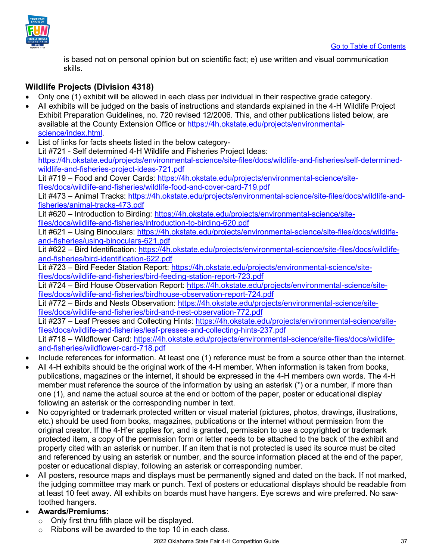

is based not on personal opinion but on scientific fact; e) use written and visual communication skills.

### <span id="page-36-0"></span>**Wildlife Projects (Division 4318)**

- Only one (1) exhibit will be allowed in each class per individual in their respective grade category.
- All exhibits will be judged on the basis of instructions and standards explained in the 4-H Wildlife Project Exhibit Preparation Guidelines, no. 720 revised 12/2006. This, and other publications listed below, are available at the County Extension Office or [https://4h.okstate.edu/projects/environmental](https://4h.okstate.edu/projects/environmental-science/index.html)[science/index.html.](https://4h.okstate.edu/projects/environmental-science/index.html)
- List of links for facts sheets listed in the below category-Lit #721 - Self determined 4-H Wildlife and Fisheries Project Ideas: [https://4h.okstate.edu/projects/environmental-science/site-files/docs/wildlife-and-fisheries/self-determined](https://4h.okstate.edu/projects/environmental-science/site-files/docs/wildlife-and-fisheries/self-determined-wildlife-and-fisheries-project-ideas-721.pdf)[wildlife-and-fisheries-project-ideas-721.pdf](https://4h.okstate.edu/projects/environmental-science/site-files/docs/wildlife-and-fisheries/self-determined-wildlife-and-fisheries-project-ideas-721.pdf)  Lit #719 – Food and Cover Cards: [https://4h.okstate.edu/projects/environmental-science/site](https://4h.okstate.edu/projects/environmental-science/site-files/docs/wildlife-and-fisheries/wildlife-food-and-cover-card-719.pdf)[files/docs/wildlife-and-fisheries/wildlife-food-and-cover-card-719.pdf](https://4h.okstate.edu/projects/environmental-science/site-files/docs/wildlife-and-fisheries/wildlife-food-and-cover-card-719.pdf)  Lit #473 – Animal Tracks: [https://4h.okstate.edu/projects/environmental-science/site-files/docs/wildlife-and](https://4h.okstate.edu/projects/environmental-science/site-files/docs/wildlife-and-fisheries/animal-tracks-473.pdf)[fisheries/animal-tracks-473.pdf](https://4h.okstate.edu/projects/environmental-science/site-files/docs/wildlife-and-fisheries/animal-tracks-473.pdf)  Lit #620 – Introduction to Birding: [https://4h.okstate.edu/projects/environmental-science/site](https://4h.okstate.edu/projects/environmental-science/site-files/docs/wildlife-and-fisheries/introduction-to-birding-620.pdf)[files/docs/wildlife-and-fisheries/introduction-to-birding-620.pdf](https://4h.okstate.edu/projects/environmental-science/site-files/docs/wildlife-and-fisheries/introduction-to-birding-620.pdf)  Lit #621 – Using Binoculars: [https://4h.okstate.edu/projects/environmental-science/site-files/docs/wildlife](https://4h.okstate.edu/projects/environmental-science/site-files/docs/wildlife-and-fisheries/using-binoculars-621.pdf)[and-fisheries/using-binoculars-621.pdf](https://4h.okstate.edu/projects/environmental-science/site-files/docs/wildlife-and-fisheries/using-binoculars-621.pdf)  Lit #622 - Bird Identification: [https://4h.okstate.edu/projects/environmental-science/site-files/docs/wildlife](https://4h.okstate.edu/projects/environmental-science/site-files/docs/wildlife-and-fisheries/bird-identification-622.pdf)[and-fisheries/bird-identification-622.pdf](https://4h.okstate.edu/projects/environmental-science/site-files/docs/wildlife-and-fisheries/bird-identification-622.pdf)  Lit #723 – Bird Feeder Station Report: [https://4h.okstate.edu/projects/environmental-science/site](https://4h.okstate.edu/projects/environmental-science/site-files/docs/wildlife-and-fisheries/bird-feeding-station-report-723.pdf)[files/docs/wildlife-and-fisheries/bird-feeding-station-report-723.pdf](https://4h.okstate.edu/projects/environmental-science/site-files/docs/wildlife-and-fisheries/bird-feeding-station-report-723.pdf)  Lit #724 – Bird House Observation Report: [https://4h.okstate.edu/projects/environmental-science/site](https://4h.okstate.edu/projects/environmental-science/site-files/docs/wildlife-and-fisheries/birdhouse-observation-report-724.pdf)[files/docs/wildlife-and-fisheries/birdhouse-observation-report-724.pdf](https://4h.okstate.edu/projects/environmental-science/site-files/docs/wildlife-and-fisheries/birdhouse-observation-report-724.pdf)  Lit #772 – Birds and Nests Observation: [https://4h.okstate.edu/projects/environmental-science/site](https://4h.okstate.edu/projects/environmental-science/site-files/docs/wildlife-and-fisheries/bird-and-nest-observation-772.pdf)[files/docs/wildlife-and-fisheries/bird-and-nest-observation-772.pdf](https://4h.okstate.edu/projects/environmental-science/site-files/docs/wildlife-and-fisheries/bird-and-nest-observation-772.pdf) 
	- Lit #237 Leaf Presses and Collecting Hints: [https://4h.okstate.edu/projects/environmental-science/site](https://4h.okstate.edu/projects/environmental-science/site-files/docs/wildlife-and-fisheries/leaf-presses-and-collecting-hints-237.pdf)[files/docs/wildlife-and-fisheries/leaf-presses-and-collecting-hints-237.pdf](https://4h.okstate.edu/projects/environmental-science/site-files/docs/wildlife-and-fisheries/leaf-presses-and-collecting-hints-237.pdf)  Lit #718 – Wildflower Card: [https://4h.okstate.edu/projects/environmental-science/site-files/docs/wildlife-](https://4h.okstate.edu/projects/environmental-science/site-files/docs/wildlife-and-fisheries/wildflower-card-718.pdf)

[and-fisheries/wildflower-card-718.pdf](https://4h.okstate.edu/projects/environmental-science/site-files/docs/wildlife-and-fisheries/wildflower-card-718.pdf) 

- Include references for information. At least one (1) reference must be from a source other than the internet.
- All 4-H exhibits should be the original work of the 4-H member. When information is taken from books. publications, magazines or the internet, it should be expressed in the 4-H members own words. The 4-H member must reference the source of the information by using an asterisk (\*) or a number, if more than one (1), and name the actual source at the end or bottom of the paper, poster or educational display following an asterisk or the corresponding number in text.
- No copyrighted or trademark protected written or visual material (pictures, photos, drawings, illustrations, etc.) should be used from books, magazines, publications or the internet without permission from the original creator. If the 4-H'er applies for, and is granted, permission to use a copyrighted or trademark protected item, a copy of the permission form or letter needs to be attached to the back of the exhibit and properly cited with an asterisk or number. If an item that is not protected is used its source must be cited and referenced by using an asterisk or number, and the source information placed at the end of the paper, poster or educational display, following an asterisk or corresponding number.
- All posters, resource maps and displays must be permanently signed and dated on the back. If not marked, the judging committee may mark or punch. Text of posters or educational displays should be readable from at least 10 feet away. All exhibits on boards must have hangers. Eye screws and wire preferred. No sawtoothed hangers.

### • **Awards/Premiums:**

- o Only first thru fifth place will be displayed.
- $\circ$  Ribbons will be awarded to the top 10 in each class.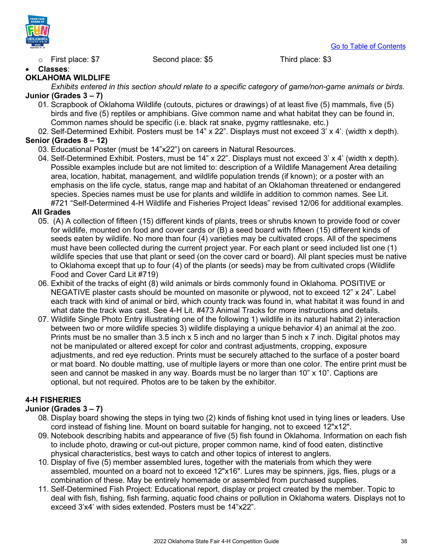

 $\circ$  First place: \$7 Second place: \$5 Third place: \$3

### • **Classes**:

#### **OKLAHOMA WILDLIFE**

*Exhibits entered in this section should relate to a specific category of game/non-game animals or birds.* **Junior (Grades 3 – 7)**

- 01. Scrapbook of Oklahoma Wildlife (cutouts, pictures or drawings) of at least five (5) mammals, five (5) birds and five (5) reptiles or amphibians. Give common name and what habitat they can be found in, Common names should be specific (i.e. black rat snake, pygmy rattlesnake, etc.)
- 02. Self-Determined Exhibit. Posters must be 14" x 22". Displays must not exceed 3' x 4'. (width x depth).

### **Senior (Grades 8 – 12)**

- 03. Educational Poster (must be 14"x22") on careers in Natural Resources.
- 04. Self-Determined Exhibit. Posters, must be 14" x 22". Displays must not exceed 3' x 4' (width x depth). Possible examples include but are not limited to: description of a Wildlife Management Area detailing area, location, habitat, management, and wildlife population trends (if known); or a poster with an emphasis on the life cycle, status, range map and habitat of an Oklahoman threatened or endangered species. Species names must be use for plants and wildlife in addition to common names. See Lit. #721 "Self-Determined 4-H Wildlife and Fisheries Project Ideas" revised 12/06 for additional examples.

### **All Grades**

- 05. (A) A collection of fifteen (15) different kinds of plants, trees or shrubs known to provide food or cover for wildlife, mounted on food and cover cards or (B) a seed board with fifteen (15) different kinds of seeds eaten by wildlife. No more than four (4) varieties may be cultivated crops. All of the specimens must have been collected during the current project year. For each plant or seed included list one (1) wildlife species that use that plant or seed (on the cover card or board). All plant species must be native to Oklahoma except that up to four (4) of the plants (or seeds) may be from cultivated crops (Wildlife Food and Cover Card Lit #719)
- 06. Exhibit of the tracks of eight (8) wild animals or birds commonly found in Oklahoma. POSITIVE or NEGATIVE plaster casts should be mounted on masonite or plywood, not to exceed 12" x 24". Label each track with kind of animal or bird, which county track was found in, what habitat it was found in and what date the track was cast. See 4-H Lit. #473 Animal Tracks for more instructions and details.
- 07. Wildlife Single Photo Entry illustrating one of the following 1) wildlife in its natural habitat 2) interaction between two or more wildlife species 3) wildlife displaying a unique behavior 4) an animal at the zoo. Prints must be no smaller than 3.5 inch x 5 inch and no larger than 5 inch x 7 inch. Digital photos may not be manipulated or altered except for color and contrast adjustments, cropping, exposure adjustments, and red eye reduction. Prints must be securely attached to the surface of a poster board or mat board. No double matting, use of multiple layers or more than one color. The entire print must be seen and cannot be masked in any way. Boards must be no larger than 10" x 10". Captions are optional, but not required. Photos are to be taken by the exhibitor.

### **4-H FISHERIES**

### **Junior (Grades 3 – 7)**

- 08. Display board showing the steps in tying two (2) kinds of fishing knot used in tying lines or leaders. Use cord instead of fishing line. Mount on board suitable for hanging, not to exceed 12"x12".
- 09. Notebook describing habits and appearance of five (5) fish found in Oklahoma. Information on each fish to include photo, drawing or cut-out picture, proper common name, kind of food eaten, distinctive physical characteristics, best ways to catch and other topics of interest to anglers.
- 10. Display of five (5) member assembled lures, together with the materials from which they were assembled, mounted on a board not to exceed 12"x16". Lures may be spinners, jigs, flies, plugs or a combination of these. May be entirely homemade or assembled from purchased supplies.
- 11. Self-Determined Fish Project: Educational report, display or project created by the member. Topic to deal with fish, fishing, fish farming, aquatic food chains or pollution in Oklahoma waters. Displays not to exceed 3'x4' with sides extended. Posters must be 14"x22".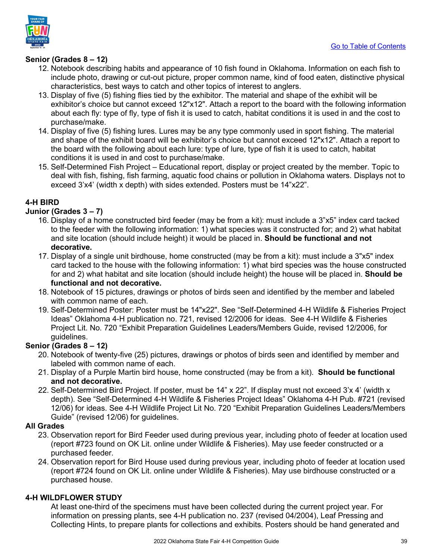

### **Senior (Grades 8 – 12)**

- 12. Notebook describing habits and appearance of 10 fish found in Oklahoma. Information on each fish to include photo, drawing or cut-out picture, proper common name, kind of food eaten, distinctive physical characteristics, best ways to catch and other topics of interest to anglers.
- 13. Display of five (5) fishing flies tied by the exhibitor. The material and shape of the exhibit will be exhibitor's choice but cannot exceed 12"x12". Attach a report to the board with the following information about each fly: type of fly, type of fish it is used to catch, habitat conditions it is used in and the cost to purchase/make.
- 14. Display of five (5) fishing lures. Lures may be any type commonly used in sport fishing. The material and shape of the exhibit board will be exhibitor's choice but cannot exceed 12"x12". Attach a report to the board with the following about each lure: type of lure, type of fish it is used to catch, habitat conditions it is used in and cost to purchase/make.
- 15. Self-Determined Fish Project Educational report, display or project created by the member. Topic to deal with fish, fishing, fish farming, aquatic food chains or pollution in Oklahoma waters. Displays not to exceed 3'x4' (width x depth) with sides extended. Posters must be 14"x22".

### **4-H BIRD**

### **Junior (Grades 3 – 7)**

- 16. Display of a home constructed bird feeder (may be from a kit): must include a 3"x5" index card tacked to the feeder with the following information: 1) what species was it constructed for; and 2) what habitat and site location (should include height) it would be placed in. **Should be functional and not decorative.**
- 17. Display of a single unit birdhouse, home constructed (may be from a kit): must include a 3"x5" index card tacked to the house with the following information: 1) what bird species was the house constructed for and 2) what habitat and site location (should include height) the house will be placed in. **Should be functional and not decorative.**
- 18. Notebook of 15 pictures, drawings or photos of birds seen and identified by the member and labeled with common name of each.
- 19. Self-Determined Poster: Poster must be 14"x22". See "Self-Determined 4-H Wildlife & Fisheries Project Ideas" Oklahoma 4-H publication no. 721, revised 12/2006 for ideas. See 4-H Wildlife & Fisheries Project Lit. No. 720 "Exhibit Preparation Guidelines Leaders/Members Guide, revised 12/2006, for guidelines.

### **Senior (Grades 8 – 12)**

- 20. Notebook of twenty-five (25) pictures, drawings or photos of birds seen and identified by member and labeled with common name of each.
- 21. Display of a Purple Martin bird house, home constructed (may be from a kit). **Should be functional and not decorative.**
- 22. Self-Determined Bird Project. If poster, must be 14" x 22". If display must not exceed 3'x 4' (width x depth). See "Self-Determined 4-H Wildlife & Fisheries Project Ideas" Oklahoma 4-H Pub. #721 (revised 12/06) for ideas. See 4-H Wildlife Project Lit No. 720 "Exhibit Preparation Guidelines Leaders/Members Guide" (revised 12/06) for guidelines.

### **All Grades**

- 23. Observation report for Bird Feeder used during previous year, including photo of feeder at location used (report #723 found on OK Lit. online under Wildlife & Fisheries). May use feeder constructed or a purchased feeder.
- 24. Observation report for Bird House used during previous year, including photo of feeder at location used (report #724 found on OK Lit. online under Wildlife & Fisheries). May use birdhouse constructed or a purchased house.

### **4-H WILDFLOWER STUDY**

At least one-third of the specimens must have been collected during the current project year. For information on pressing plants, see 4-H publication no. 237 (revised 04/2004), Leaf Pressing and Collecting Hints, to prepare plants for collections and exhibits. Posters should be hand generated and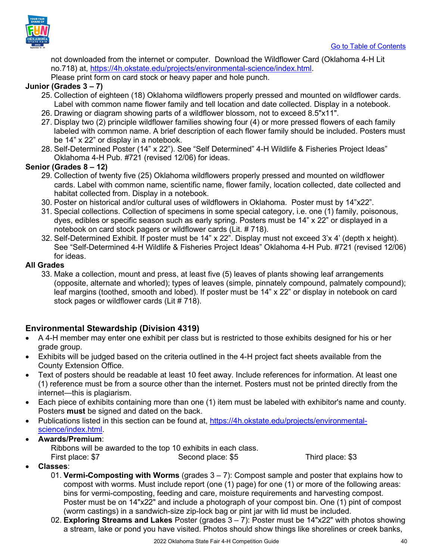

not downloaded from the internet or computer. Download the Wildflower Card (Oklahoma 4-H Lit no.718) at, [https://4h.okstate.edu/projects/environmental-science/index.html.](https://4h.okstate.edu/projects/environmental-science/index.html)

Please print form on card stock or heavy paper and hole punch.

### **Junior (Grades 3 – 7)**

- 25. Collection of eighteen (18) Oklahoma wildflowers properly pressed and mounted on wildflower cards. Label with common name flower family and tell location and date collected. Display in a notebook.
- 26. Drawing or diagram showing parts of a wildflower blossom, not to exceed 8.5"x11".
- 27. Display two (2) principle wildflower families showing four (4) or more pressed flowers of each family labeled with common name. A brief description of each flower family should be included. Posters must be 14" x 22" or display in a notebook.
- 28. Self-Determined Poster (14" x 22"). See "Self Determined" 4-H Wildlife & Fisheries Project Ideas" Oklahoma 4-H Pub. #721 (revised 12/06) for ideas.

### **Senior (Grades 8 – 12)**

- 29. Collection of twenty five (25) Oklahoma wildflowers properly pressed and mounted on wildflower cards. Label with common name, scientific name, flower family, location collected, date collected and habitat collected from. Display in a notebook.
- 30. Poster on historical and/or cultural uses of wildflowers in Oklahoma. Poster must by 14"x22".
- 31. Special collections. Collection of specimens in some special category, i.e. one (1) family, poisonous, dyes, edibles or specific season such as early spring. Posters must be 14" x 22" or displayed in a notebook on card stock pagers or wildflower cards (Lit. # 718).
- 32. Self-Determined Exhibit. If poster must be 14" x 22". Display must not exceed 3'x 4' (depth x height). See "Self-Determined 4-H Wildlife & Fisheries Project Ideas" Oklahoma 4-H Pub. #721 (revised 12/06) for ideas.

### **All Grades**

33. Make a collection, mount and press, at least five (5) leaves of plants showing leaf arrangements (opposite, alternate and whorled); types of leaves (simple, pinnately compound, palmately compound); leaf margins (toothed, smooth and lobed). If poster must be 14" x 22" or display in notebook on card stock pages or wildflower cards (Lit # 718).

### <span id="page-39-0"></span>**Environmental Stewardship (Division 4319)**

- A 4-H member may enter one exhibit per class but is restricted to those exhibits designed for his or her grade group.
- Exhibits will be judged based on the criteria outlined in the 4-H project fact sheets available from the County Extension Office.
- Text of posters should be readable at least 10 feet away. Include references for information. At least one (1) reference must be from a source other than the internet. Posters must not be printed directly from the internet—this is plagiarism.
- Each piece of exhibits containing more than one (1) item must be labeled with exhibitor's name and county. Posters **must** be signed and dated on the back.
- Publications listed in this section can be found at, [https://4h.okstate.edu/projects/environmental](https://4h.okstate.edu/projects/environmental-science/index.html)[science/index.html.](https://4h.okstate.edu/projects/environmental-science/index.html)
- **Awards/Premium**:

Ribbons will be awarded to the top 10 exhibits in each class. First place: \$7 Second place: \$5 Third place: \$3

- **Classes**:
	- 01. **Vermi-Composting with Worms** (grades 3 7): Compost sample and poster that explains how to compost with worms. Must include report (one (1) page) for one (1) or more of the following areas: bins for vermi-composting, feeding and care, moisture requirements and harvesting compost. Poster must be on 14"x22" and include a photograph of your compost bin. One (1) pint of compost (worm castings) in a sandwich-size zip-lock bag or pint jar with lid must be included.
	- 02. **Exploring Streams and Lakes** Poster (grades 3 7): Poster must be 14"x22" with photos showing a stream, lake or pond you have visited. Photos should show things like shorelines or creek banks,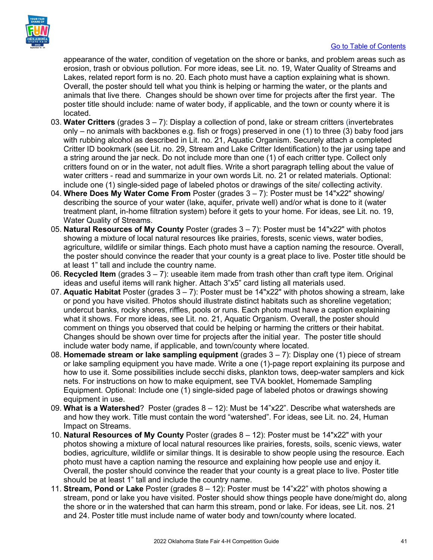

#### [Go to Table of Contents](#page-1-0)

appearance of the water, condition of vegetation on the shore or banks, and problem areas such as erosion, trash or obvious pollution. For more ideas, see Lit. no. 19, Water Quality of Streams and Lakes, related report form is no. 20. Each photo must have a caption explaining what is shown. Overall, the poster should tell what you think is helping or harming the water, or the plants and animals that live there. Changes should be shown over time for projects after the first year. The poster title should include: name of water body, if applicable, and the town or county where it is located.

- 03. **Water Critters** (grades 3 7): Display a collection of pond, lake or stream critters (invertebrates only – no animals with backbones e.g. fish or frogs) preserved in one (1) to three (3) baby food jars with rubbing alcohol as described in Lit. no. 21, Aquatic Organism. Securely attach a completed Critter ID bookmark (see Lit. no. 29, Stream and Lake Critter Identification) to the jar using tape and a string around the jar neck. Do not include more than one (1) of each critter type. Collect only critters found on or in the water, not adult flies. Write a short paragraph telling about the value of water critters - read and summarize in your own words Lit. no. 21 or related materials. Optional: include one (1) single-sided page of labeled photos or drawings of the site/ collecting activity.
- 04. **Where Does My Water Come From** Poster (grades 3 7): Poster must be 14"x22" showing/ describing the source of your water (lake, aquifer, private well) and/or what is done to it (water treatment plant, in-home filtration system) before it gets to your home. For ideas, see Lit. no. 19, Water Quality of Streams.
- 05. **Natural Resources of My County** Poster (grades 3 7): Poster must be 14"x22" with photos showing a mixture of local natural resources like prairies, forests, scenic views, water bodies, agriculture, wildlife or similar things. Each photo must have a caption naming the resource. Overall, the poster should convince the reader that your county is a great place to live. Poster title should be at least 1" tall and include the country name.
- 06. **Recycled Item** (grades 3 7): useable item made from trash other than craft type item. Original ideas and useful items will rank higher. Attach 3"x5" card listing all materials used.
- 07. **Aquatic Habitat** Poster (grades 3 7): Poster must be 14"x22" with photos showing a stream, lake or pond you have visited. Photos should illustrate distinct habitats such as shoreline vegetation; undercut banks, rocky shores, riffles, pools or runs. Each photo must have a caption explaining what it shows. For more ideas, see Lit. no. 21, Aquatic Organism. Overall, the poster should comment on things you observed that could be helping or harming the critters or their habitat. Changes should be shown over time for projects after the initial year. The poster title should include water body name, if applicable, and town/county where located.
- 08. **Homemade stream or lake sampling equipment** (grades 3 7): Display one (1) piece of stream or lake sampling equipment you have made. Write a one (1)-page report explaining its purpose and how to use it. Some possibilities include secchi disks, plankton tows, deep-water samplers and kick nets. For instructions on how to make equipment, see TVA booklet, Homemade Sampling Equipment. Optional: Include one (1) single-sided page of labeled photos or drawings showing equipment in use.
- 09. **What is a Watershed**? Poster (grades 8 12): Must be 14"x22". Describe what watersheds are and how they work. Title must contain the word "watershed". For ideas, see Lit. no. 24, Human Impact on Streams.
- 10. **Natural Resources of My County** Poster (grades 8 12): Poster must be 14"x22" with your photos showing a mixture of local natural resources like prairies, forests, soils, scenic views, water bodies, agriculture, wildlife or similar things. It is desirable to show people using the resource. Each photo must have a caption naming the resource and explaining how people use and enjoy it. Overall, the poster should convince the reader that your county is a great place to live. Poster title should be at least 1" tall and include the country name.
- 11. **Stream, Pond or Lake** Poster (grades 8 12): Poster must be 14"x22" with photos showing a stream, pond or lake you have visited. Poster should show things people have done/might do, along the shore or in the watershed that can harm this stream, pond or lake. For ideas, see Lit. nos. 21 and 24. Poster title must include name of water body and town/county where located.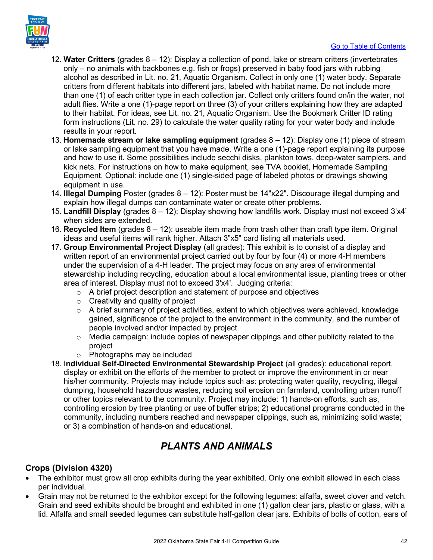

- 12. **Water Critters** (grades 8 12): Display a collection of pond, lake or stream critters (invertebrates only – no animals with backbones e.g. fish or frogs) preserved in baby food jars with rubbing alcohol as described in Lit. no. 21, Aquatic Organism. Collect in only one (1) water body. Separate critters from different habitats into different jars, labeled with habitat name. Do not include more than one (1) of each critter type in each collection jar. Collect only critters found on/in the water, not adult flies. Write a one (1)-page report on three (3) of your critters explaining how they are adapted to their habitat. For ideas, see Lit. no. 21, Aquatic Organism. Use the Bookmark Critter ID rating form instructions (Lit. no. 29) to calculate the water quality rating for your water body and include results in your report.
- 13. **Homemade stream or lake sampling equipment** (grades 8 12): Display one (1) piece of stream or lake sampling equipment that you have made. Write a one (1)-page report explaining its purpose and how to use it. Some possibilities include secchi disks, plankton tows, deep-water samplers, and kick nets. For instructions on how to make equipment, see TVA booklet, Homemade Sampling Equipment. Optional: include one (1) single-sided page of labeled photos or drawings showing equipment in use.
- 14. **Illegal Dumping** Poster (grades 8 12): Poster must be 14"x22". Discourage illegal dumping and explain how illegal dumps can contaminate water or create other problems.
- 15. **Landfill Display** (grades 8 12): Display showing how landfills work. Display must not exceed 3'x4' when sides are extended.
- 16. **Recycled Item** (grades 8 12): useable item made from trash other than craft type item. Original ideas and useful items will rank higher. Attach 3"x5" card listing all materials used.
- 17. **Group Environmental Project Display** (all grades): This exhibit is to consist of a display and written report of an environmental project carried out by four by four (4) or more 4-H members under the supervision of a 4-H leader. The project may focus on any area of environmental stewardship including recycling, education about a local environmental issue, planting trees or other area of interest. Display must not to exceed 3'x4'. Judging criteria:
	- o A brief project description and statement of purpose and objectives
	- $\circ$  Creativity and quality of project
	- $\circ$  A brief summary of project activities, extent to which objectives were achieved, knowledge gained, significance of the project to the environment in the community, and the number of people involved and/or impacted by project
	- $\circ$  Media campaign: include copies of newspaper clippings and other publicity related to the project
	- o Photographs may be included
- 18. I**ndividual Self-Directed Environmental Stewardship Project** (all grades): educational report, display or exhibit on the efforts of the member to protect or improve the environment in or near his/her community. Projects may include topics such as: protecting water quality, recycling, illegal dumping, household hazardous wastes, reducing soil erosion on farmland, controlling urban runoff or other topics relevant to the community. Project may include: 1) hands-on efforts, such as, controlling erosion by tree planting or use of buffer strips; 2) educational programs conducted in the community, including numbers reached and newspaper clippings, such as, minimizing solid waste; or 3) a combination of hands-on and educational.

### *PLANTS AND ANIMALS*

### <span id="page-41-1"></span><span id="page-41-0"></span>**Crops (Division 4320)**

- The exhibitor must grow all crop exhibits during the year exhibited. Only one exhibit allowed in each class per individual.
- Grain may not be returned to the exhibitor except for the following legumes: alfalfa, sweet clover and vetch. Grain and seed exhibits should be brought and exhibited in one (1) gallon clear jars, plastic or glass, with a lid. Alfalfa and small seeded legumes can substitute half-gallon clear jars. Exhibits of bolls of cotton, ears of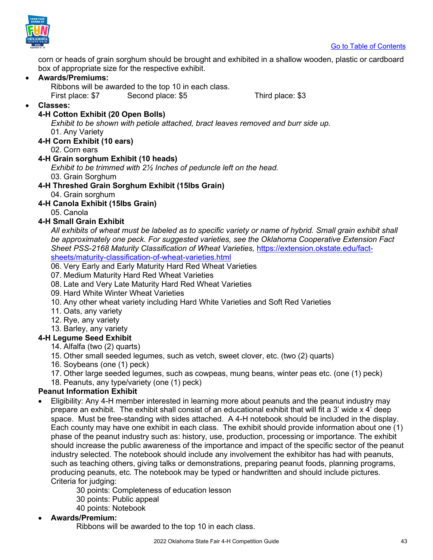

corn or heads of grain sorghum should be brought and exhibited in a shallow wooden, plastic or cardboard box of appropriate size for the respective exhibit.

### • **Awards/Premiums:**

Ribbons will be awarded to the top 10 in each class. First place: \$7 Second place: \$5 Third place: \$3

### • **Classes:**

### **4-H Cotton Exhibit (20 Open Bolls)**

*Exhibit to be shown with petiole attached, bract leaves removed and burr side up.*  01. Any Variety

### **4-H Corn Exhibit (10 ears)**

02. Corn ears

### **4-H Grain sorghum Exhibit (10 heads)**

*Exhibit to be trimmed with 2½ Inches of peduncle left on the head.*  03. Grain Sorghum

**4-H Threshed Grain Sorghum Exhibit (15lbs Grain)**

04. Grain sorghum

### **4-H Canola Exhibit (15lbs Grain)**

05. Canola

### **4-H Small Grain Exhibit**

*All exhibits of wheat must be labeled as to specific variety or name of hybrid. Small grain exhibit shall be approximately one peck. For suggested varieties, see the Oklahoma Cooperative Extension Fact Sheet PSS-2168 Maturity Classification of Wheat Varieties,* [https://extension.okstate.edu/fact](https://extension.okstate.edu/fact-sheets/maturity-classification-of-wheat-varieties.html)[sheets/maturity-classification-of-wheat-varieties.html](https://extension.okstate.edu/fact-sheets/maturity-classification-of-wheat-varieties.html)

06. Very Early and Early Maturity Hard Red Wheat Varieties

- 07. Medium Maturity Hard Red Wheat Varieties
- 08. Late and Very Late Maturity Hard Red Wheat Varieties
- 09. Hard White Winter Wheat Varieties
- 10. Any other wheat variety including Hard White Varieties and Soft Red Varieties
- 11. Oats, any variety
- 12. Rye, any variety
- 13. Barley, any variety

### **4-H Legume Seed Exhibit**

- 14. Alfalfa (two (2) quarts)
- 15. Other small seeded legumes, such as vetch, sweet clover, etc. (two (2) quarts)
- 16. Soybeans (one (1) peck)
- 17. Other large seeded legumes, such as cowpeas, mung beans, winter peas etc. (one (1) peck)

18. Peanuts, any type/variety (one (1) peck)

### **Peanut Information Exhibit**

- Eligibility: Any 4-H member interested in learning more about peanuts and the peanut industry may prepare an exhibit. The exhibit shall consist of an educational exhibit that will fit a 3' wide x 4' deep space. Must be free-standing with sides attached. A 4-H notebook should be included in the display. Each county may have one exhibit in each class. The exhibit should provide information about one (1) phase of the peanut industry such as: history, use, production, processing or importance. The exhibit should increase the public awareness of the importance and impact of the specific sector of the peanut industry selected. The notebook should include any involvement the exhibitor has had with peanuts, such as teaching others, giving talks or demonstrations, preparing peanut foods, planning programs, producing peanuts, etc. The notebook may be typed or handwritten and should include pictures. Criteria for judging:
	- 30 points: Completeness of education lesson
	- 30 points: Public appeal
	- 40 points: Notebook
- **Awards/Premium:**

Ribbons will be awarded to the top 10 in each class.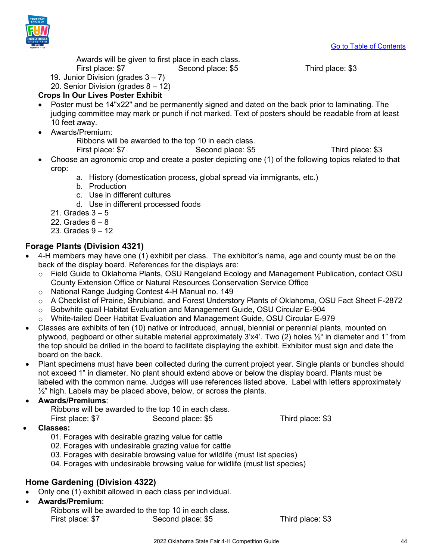

Awards will be given to first place in each class. First place: \$7 Second place: \$5 Third place: \$3

- 19. Junior Division (grades  $3 7$ )
- 20. Senior Division (grades 8 12)

### **Crops In Our Lives Poster Exhibit**

- Poster must be 14"x22" and be permanently signed and dated on the back prior to laminating. The judging committee may mark or punch if not marked. Text of posters should be readable from at least 10 feet away.
- Awards/Premium:

Ribbons will be awarded to the top 10 in each class.

First place: \$7 Second place: \$5 Third place: \$3

- Choose an agronomic crop and create a poster depicting one (1) of the following topics related to that crop:
	- a. History (domestication process, global spread via immigrants, etc.)
	- b. Production
	- c. Use in different cultures
	- d. Use in different processed foods
	- 21. Grades 3 5
	- 22. Grades  $6 8$
	- 23. Grades 9 12

### <span id="page-43-0"></span>**Forage Plants (Division 4321)**

- 4-H members may have one (1) exhibit per class. The exhibitor's name, age and county must be on the back of the display board. References for the displays are:
	- o Field Guide to Oklahoma Plants, OSU Rangeland Ecology and Management Publication, contact OSU County Extension Office or Natural Resources Conservation Service Office
	- o National Range Judging Contest 4-H Manual no. 149
	- o A Checklist of Prairie, Shrubland, and Forest Understory Plants of Oklahoma, OSU Fact Sheet F-2872
	- o Bobwhite quail Habitat Evaluation and Management Guide, OSU Circular E-904
	- o White-tailed Deer Habitat Evaluation and Management Guide, OSU Circular E-979
- Classes are exhibits of ten (10) native or introduced, annual, biennial or perennial plants, mounted on plywood, pegboard or other suitable material approximately 3'x4'. Two (2) holes ½" in diameter and 1" from the top should be drilled in the board to facilitate displaying the exhibit. Exhibitor must sign and date the board on the back.
- Plant specimens must have been collected during the current project year. Single plants or bundles should not exceed 1" in diameter. No plant should extend above or below the display board. Plants must be labeled with the common name. Judges will use references listed above. Label with letters approximately ½" high. Labels may be placed above, below, or across the plants.

### • **Awards/Premiums**:

Ribbons will be awarded to the top 10 in each class.

First place: \$7 Second place: \$5 Third place: \$3

- **Classes:** 
	- 01. Forages with desirable grazing value for cattle
	- 02. Forages with undesirable grazing value for cattle
	- 03. Forages with desirable browsing value for wildlife (must list species)
	- 04. Forages with undesirable browsing value for wildlife (must list species)

### <span id="page-43-1"></span>**Home Gardening (Division 4322)**

- Only one (1) exhibit allowed in each class per individual.
- **Awards/Premium**:
	- Ribbons will be awarded to the top 10 in each class.

First place: \$7 Second place: \$5 Third place: \$3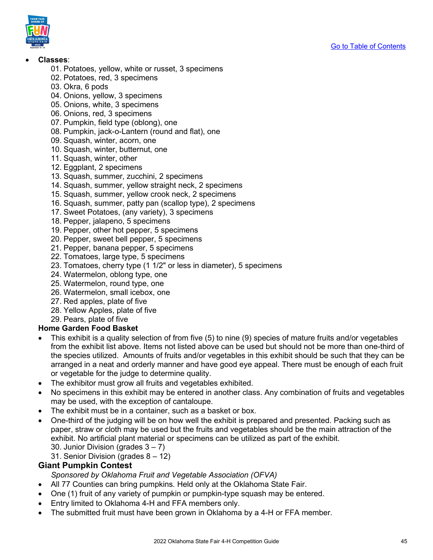

### • **Classes**:

- 01. Potatoes, yellow, white or russet, 3 specimens
- 02. Potatoes, red, 3 specimens
- 03. Okra, 6 pods
- 04. Onions, yellow, 3 specimens
- 05. Onions, white, 3 specimens
- 06. Onions, red, 3 specimens
- 07. Pumpkin, field type (oblong), one
- 08. Pumpkin, jack-o-Lantern (round and flat), one
- 09. Squash, winter, acorn, one
- 10. Squash, winter, butternut, one
- 11. Squash, winter, other
- 12. Eggplant, 2 specimens
- 13. Squash, summer, zucchini, 2 specimens
- 14. Squash, summer, yellow straight neck, 2 specimens
- 15. Squash, summer, yellow crook neck, 2 specimens
- 16. Squash, summer, patty pan (scallop type), 2 specimens
- 17. Sweet Potatoes, (any variety), 3 specimens
- 18. Pepper, jalapeno, 5 specimens
- 19. Pepper, other hot pepper, 5 specimens
- 20. Pepper, sweet bell pepper, 5 specimens
- 21. Pepper, banana pepper, 5 specimens
- 22. Tomatoes, large type, 5 specimens
- 23. Tomatoes, cherry type (1 1/2" or less in diameter), 5 specimens
- 24. Watermelon, oblong type, one
- 25. Watermelon, round type, one
- 26. Watermelon, small icebox, one
- 27. Red apples, plate of five
- 28. Yellow Apples, plate of five
- 29. Pears, plate of five

### **Home Garden Food Basket**

- This exhibit is a quality selection of from five (5) to nine (9) species of mature fruits and/or vegetables from the exhibit list above. Items not listed above can be used but should not be more than one-third of the species utilized. Amounts of fruits and/or vegetables in this exhibit should be such that they can be arranged in a neat and orderly manner and have good eye appeal. There must be enough of each fruit or vegetable for the judge to determine quality.
- The exhibitor must grow all fruits and vegetables exhibited.
- No specimens in this exhibit may be entered in another class. Any combination of fruits and vegetables may be used, with the exception of cantaloupe.
- The exhibit must be in a container, such as a basket or box.
- One-third of the judging will be on how well the exhibit is prepared and presented. Packing such as paper, straw or cloth may be used but the fruits and vegetables should be the main attraction of the exhibit. No artificial plant material or specimens can be utilized as part of the exhibit. 30. Junior Division (grades  $3 - 7$ )
	- 31. Senior Division (grades 8 12)

### <span id="page-44-0"></span>**Giant Pumpkin Contest**

*Sponsored by Oklahoma Fruit and Vegetable Association (OFVA)*

- All 77 Counties can bring pumpkins. Held only at the Oklahoma State Fair.
- One (1) fruit of any variety of pumpkin or pumpkin-type squash may be entered.
- Entry limited to Oklahoma 4-H and FFA members only.
- The submitted fruit must have been grown in Oklahoma by a 4-H or FFA member.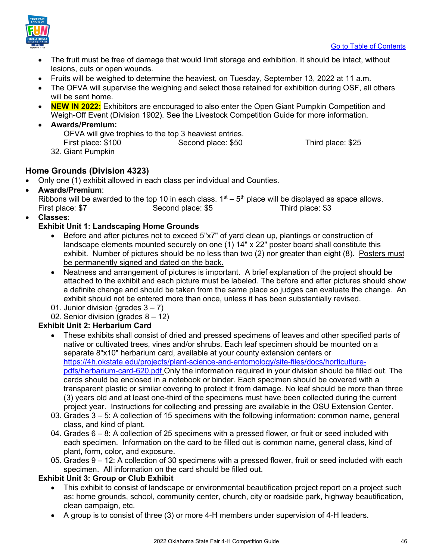

- The fruit must be free of damage that would limit storage and exhibition. It should be intact, without lesions, cuts or open wounds.
- Fruits will be weighed to determine the heaviest, on Tuesday, September 13, 2022 at 11 a.m.
- The OFVA will supervise the weighing and select those retained for exhibition during OSF, all others will be sent home.
- **NEW IN 2022:** Exhibitors are encouraged to also enter the Open Giant Pumpkin Competition and Weigh-Off Event (Division 1902). See the Livestock Competition Guide for more information.
- **Awards/Premium:** 
	- OFVA will give trophies to the top 3 heaviest entries. First place: \$100 Second place: \$50 Third place: \$25
	- 32. Giant Pumpkin

### <span id="page-45-0"></span>**Home Grounds (Division 4323)**

- Only one (1) exhibit allowed in each class per individual and Counties.
- **Awards/Premium**:

Ribbons will be awarded to the top 10 in each class.  $1<sup>st</sup> - 5<sup>th</sup>$  place will be displayed as space allows. First place: \$7 Second place: \$5 Third place: \$3

• **Classes**:

### **Exhibit Unit 1: Landscaping Home Grounds**

- Before and after pictures not to exceed 5"x7" of yard clean up, plantings or construction of landscape elements mounted securely on one (1) 14" x 22" poster board shall constitute this exhibit. Number of pictures should be no less than two (2) nor greater than eight (8). Posters must be permanently signed and dated on the back.
- Neatness and arrangement of pictures is important. A brief explanation of the project should be attached to the exhibit and each picture must be labeled. The before and after pictures should show a definite change and should be taken from the same place so judges can evaluate the change. An exhibit should not be entered more than once, unless it has been substantially revised.
- 01. Junior division (grades  $3 7$ )

02. Senior division (grades 8 – 12)

### **Exhibit Unit 2: Herbarium Card**

- These exhibits shall consist of dried and pressed specimens of leaves and other specified parts of native or cultivated trees, vines and/or shrubs. Each leaf specimen should be mounted on a separate 8"x10" herbarium card, available at your county extension centers or [https://4h.okstate.edu/projects/plant-science-and-entomology/site-files/docs/horticulture](https://4h.okstate.edu/projects/plant-science-and-entomology/site-files/docs/horticulture-pdfs/herbarium-card-620.pdf)[pdfs/herbarium-card-620.pdf](https://4h.okstate.edu/projects/plant-science-and-entomology/site-files/docs/horticulture-pdfs/herbarium-card-620.pdf) Only the information required in your division should be filled out. The cards should be enclosed in a notebook or binder. Each specimen should be covered with a transparent plastic or similar covering to protect it from damage. No leaf should be more than three (3) years old and at least one-third of the specimens must have been collected during the current project year. Instructions for collecting and pressing are available in the OSU Extension Center.
- 03. Grades 3 5: A collection of 15 specimens with the following information: common name, general class, and kind of plant.
- 04. Grades 6 8: A collection of 25 specimens with a pressed flower, or fruit or seed included with each specimen. Information on the card to be filled out is common name, general class, kind of plant, form, color, and exposure.
- 05. Grades 9 12: A collection of 30 specimens with a pressed flower, fruit or seed included with each specimen. All information on the card should be filled out.

### **Exhibit Unit 3: Group or Club Exhibit**

- This exhibit to consist of landscape or environmental beautification project report on a project such as: home grounds, school, community center, church, city or roadside park, highway beautification, clean campaign, etc.
- A group is to consist of three (3) or more 4-H members under supervision of 4-H leaders.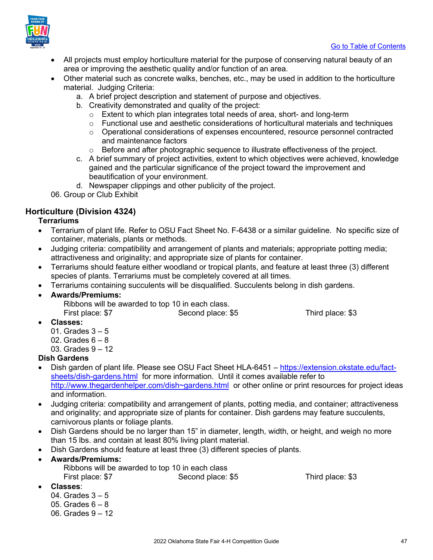



- All projects must employ horticulture material for the purpose of conserving natural beauty of an area or improving the aesthetic quality and/or function of an area.
- Other material such as concrete walks, benches, etc., may be used in addition to the horticulture material. Judging Criteria:
	- a. A brief project description and statement of purpose and objectives.
	- b. Creativity demonstrated and quality of the project:
		- o Extent to which plan integrates total needs of area, short- and long-term
		- o Functional use and aesthetic considerations of horticultural materials and techniques
		- $\circ$  Operational considerations of expenses encountered, resource personnel contracted and maintenance factors
		- $\circ$  Before and after photographic sequence to illustrate effectiveness of the project.
	- c. A brief summary of project activities, extent to which objectives were achieved, knowledge gained and the particular significance of the project toward the improvement and beautification of your environment.
	- d. Newspaper clippings and other publicity of the project.

06. Group or Club Exhibit

### <span id="page-46-0"></span>**Horticulture (Division 4324)**

### **Terrariums**

- Terrarium of plant life. Refer to OSU Fact Sheet No. F-6438 or a similar guideline. No specific size of container, materials, plants or methods.
- Judging criteria: compatibility and arrangement of plants and materials; appropriate potting media; attractiveness and originality; and appropriate size of plants for container.
- Terrariums should feature either woodland or tropical plants, and feature at least three (3) different species of plants. Terrariums must be completely covered at all times.
- Terrariums containing succulents will be disqualified. Succulents belong in dish gardens.

### • **Awards/Premiums:**

Ribbons will be awarded to top 10 in each class. First place: \$7 Second place: \$5 Third place: \$3

- **Classes:** 
	- 01. Grades  $3 5$
	- 02. Grades  $6 8$
	- 03. Grades 9 12

### **Dish Gardens**

- Dish garden of plant life. Please see OSU Fact Sheet HLA-6451 – [https://extension.okstate.edu/fact](https://extension.okstate.edu/fact-sheets/dish-gardens.html)[sheets/dish-gardens.html](https://extension.okstate.edu/fact-sheets/dish-gardens.html) for more information. Until it comes available refer to [http://www.thegardenhelper.com/dish~gardens.html](http://www.thegardenhelper.com/dish%7Egardens.html) or other online or print resources for project ideas and information.
- Judging criteria: compatibility and arrangement of plants, potting media, and container; attractiveness and originality; and appropriate size of plants for container. Dish gardens may feature succulents, carnivorous plants or foliage plants.
- Dish Gardens should be no larger than 15" in diameter, length, width, or height, and weigh no more than 15 lbs. and contain at least 80% living plant material.
- Dish Gardens should feature at least three (3) different species of plants.

### • **Awards/Premiums:**

Ribbons will be awarded to top 10 in each class First place: \$7 Second place: \$5 Third place: \$3

- **Classes**:
	- 04. Grades  $3 5$
	- 05. Grades  $6 8$
	- 06. Grades 9 12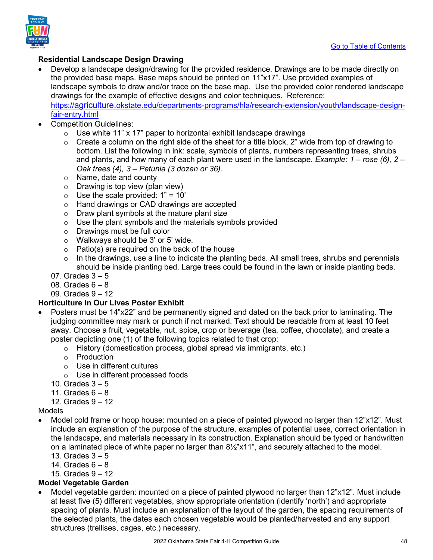

### **Residential Landscape Design Drawing**

- Develop a landscape design/drawing for the provided residence. Drawings are to be made directly on the provided base maps. Base maps should be printed on 11"x17". Use provided examples of landscape symbols to draw and/or trace on the base map. Use the provided color rendered landscape drawings for the example of effective designs and color techniques. Reference: [https://agriculture.okstate.edu/departments-programs/hla/research-extension/youth/landscape-design](https://agriculture.okstate.edu/departments-programs/hla/research-extension/youth/landscape-design-fair-entry.html)[fair-entry.html](https://agriculture.okstate.edu/departments-programs/hla/research-extension/youth/landscape-design-fair-entry.html)
- Competition Guidelines:
	- $\circ$  Use white 11" x 17" paper to horizontal exhibit landscape drawings
	- $\circ$  Create a column on the right side of the sheet for a title block, 2" wide from top of drawing to bottom. List the following in ink: scale, symbols of plants, numbers representing trees, shrubs and plants, and how many of each plant were used in the landscape. *Example: 1 – rose (6), 2 – Oak trees (4), 3 – Petunia (3 dozen or 36).*
	- o Name, date and county
	- $\circ$  Drawing is top view (plan view)
	- $\circ$  Use the scale provided: 1" = 10'
	- o Hand drawings or CAD drawings are accepted
	- o Draw plant symbols at the mature plant size
	- $\circ$  Use the plant symbols and the materials symbols provided
	- o Drawings must be full color
	- o Walkways should be 3' or 5' wide.
	- $\circ$  Patio(s) are required on the back of the house
	- $\circ$  In the drawings, use a line to indicate the planting beds. All small trees, shrubs and perennials should be inside planting bed. Large trees could be found in the lawn or inside planting beds.
	- 07. Grades 3 5
	- 08. Grades 6 8
	- 09. Grades 9 12

### **Horticulture In Our Lives Poster Exhibit**

- Posters must be 14"x22" and be permanently signed and dated on the back prior to laminating. The judging committee may mark or punch if not marked. Text should be readable from at least 10 feet away. Choose a fruit, vegetable, nut, spice, crop or beverage (tea, coffee, chocolate), and create a poster depicting one (1) of the following topics related to that crop:
	- o History (domestication process, global spread via immigrants, etc.)
	- o Production
	- o Use in different cultures
	- o Use in different processed foods
	- 10. Grades  $3-5$
	- 11. Grades  $6 8$
	- 12. Grades 9 12

### Models

- Model cold frame or hoop house: mounted on a piece of painted plywood no larger than 12"x12". Must include an explanation of the purpose of the structure, examples of potential uses, correct orientation in the landscape, and materials necessary in its construction. Explanation should be typed or handwritten on a laminated piece of white paper no larger than 8½"x11", and securely attached to the model.
	- 13. Grades  $3 5$
	- 14. Grades  $6 8$
	- 15. Grades 9 12

### **Model Vegetable Garden**

• Model vegetable garden: mounted on a piece of painted plywood no larger than 12"x12". Must include at least five (5) different vegetables, show appropriate orientation (identify 'north') and appropriate spacing of plants. Must include an explanation of the layout of the garden, the spacing requirements of the selected plants, the dates each chosen vegetable would be planted/harvested and any support structures (trellises, cages, etc.) necessary.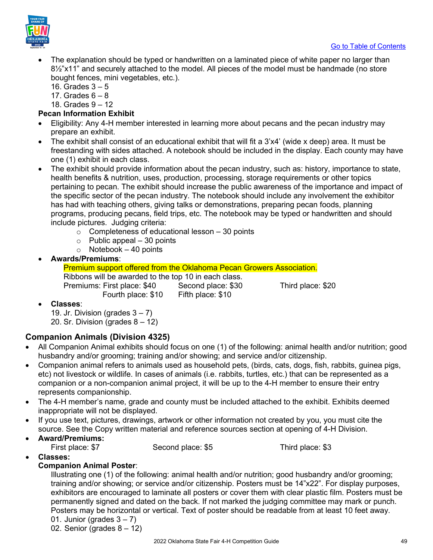

- The explanation should be typed or handwritten on a laminated piece of white paper no larger than 8½"x11" and securely attached to the model. All pieces of the model must be handmade (no store bought fences, mini vegetables, etc.).
	- 16. Grades  $3 5$
	- 17. Grades  $6 8$
	- 18. Grades 9 12

### **Pecan Information Exhibit**

- Eligibility: Any 4-H member interested in learning more about pecans and the pecan industry may prepare an exhibit.
- The exhibit shall consist of an educational exhibit that will fit a 3'x4' (wide x deep) area. It must be freestanding with sides attached. A notebook should be included in the display. Each county may have one (1) exhibit in each class.
- The exhibit should provide information about the pecan industry, such as: history, importance to state, health benefits & nutrition, uses, production, processing, storage requirements or other topics pertaining to pecan. The exhibit should increase the public awareness of the importance and impact of the specific sector of the pecan industry. The notebook should include any involvement the exhibitor has had with teaching others, giving talks or demonstrations, preparing pecan foods, planning programs, producing pecans, field trips, etc. The notebook may be typed or handwritten and should include pictures. Judging criteria:
	- $\circ$  Completeness of educational lesson  $-30$  points
	- $\circ$  Public appeal 30 points
	- $\circ$  Notebook 40 points
- **Awards/Premiums**:

Premium support offered from the Oklahoma Pecan Growers Association.

Ribbons will be awarded to the top 10 in each class. Premiums: First place: \$40 Second place: \$30 Third place: \$20 Fourth place: \$10 Fifth place: \$10

• **Classes**:

19. Jr. Division (grades  $3 - 7$ ) 20. Sr. Division (grades  $8 - 12$ )

### <span id="page-48-0"></span>**Companion Animals (Division 4325)**

- All Companion Animal exhibits should focus on one (1) of the following: animal health and/or nutrition; good husbandry and/or grooming; training and/or showing; and service and/or citizenship.
- Companion animal refers to animals used as household pets, (birds, cats, dogs, fish, rabbits, guinea pigs, etc) not livestock or wildlife. In cases of animals (i.e. rabbits, turtles, etc.) that can be represented as a companion or a non-companion animal project, it will be up to the 4-H member to ensure their entry represents companionship.
- The 4-H member's name, grade and county must be included attached to the exhibit. Exhibits deemed inappropriate will not be displayed.
- If you use text, pictures, drawings, artwork or other information not created by you, you must cite the source. See the Copy written material and reference sources section at opening of 4-H Division.
- **Award/Premiums:**

| First place: \$7 | Second place: \$5 | Third place: \$3 |
|------------------|-------------------|------------------|
|------------------|-------------------|------------------|

• **Classes:** 

### **Companion Animal Poster**:

Illustrating one (1) of the following: animal health and/or nutrition; good husbandry and/or grooming; training and/or showing; or service and/or citizenship. Posters must be 14"x22". For display purposes, exhibitors are encouraged to laminate all posters or cover them with clear plastic film. Posters must be permanently signed and dated on the back. If not marked the judging committee may mark or punch. Posters may be horizontal or vertical. Text of poster should be readable from at least 10 feet away. 01. Junior (grades  $3 - 7$ )

02. Senior (grades  $8 - 12$ )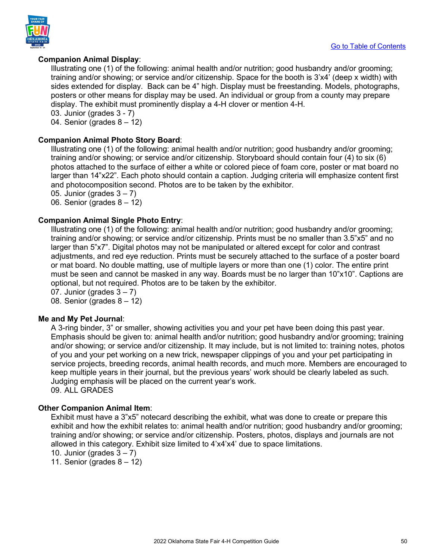

### **Companion Animal Display**:

Illustrating one (1) of the following: animal health and/or nutrition; good husbandry and/or grooming; training and/or showing; or service and/or citizenship. Space for the booth is 3'x4' (deep x width) with sides extended for display. Back can be 4" high. Display must be freestanding. Models, photographs, posters or other means for display may be used. An individual or group from a county may prepare display. The exhibit must prominently display a 4-H clover or mention 4-H. 03. Junior (grades 3 - 7)

04. Senior (grades  $8 - 12$ )

### **Companion Animal Photo Story Board**:

Illustrating one (1) of the following: animal health and/or nutrition; good husbandry and/or grooming; training and/or showing; or service and/or citizenship. Storyboard should contain four (4) to six (6) photos attached to the surface of either a white or colored piece of foam core, poster or mat board no larger than 14"x22". Each photo should contain a caption. Judging criteria will emphasize content first and photocomposition second. Photos are to be taken by the exhibitor.

05. Junior (grades  $3 - 7$ )

06. Senior (grades 8 – 12)

### **Companion Animal Single Photo Entry**:

Illustrating one (1) of the following: animal health and/or nutrition; good husbandry and/or grooming; training and/or showing; or service and/or citizenship. Prints must be no smaller than 3.5"x5" and no larger than 5"x7". Digital photos may not be manipulated or altered except for color and contrast adjustments, and red eye reduction. Prints must be securely attached to the surface of a poster board or mat board. No double matting, use of multiple layers or more than one (1) color. The entire print must be seen and cannot be masked in any way. Boards must be no larger than 10"x10". Captions are optional, but not required. Photos are to be taken by the exhibitor.

07. Junior (grades  $3 - 7$ )

08. Senior (grades 8 – 12)

### **Me and My Pet Journal**:

A 3-ring binder, 3" or smaller, showing activities you and your pet have been doing this past year. Emphasis should be given to: animal health and/or nutrition; good husbandry and/or grooming; training and/or showing; or service and/or citizenship. It may include, but is not limited to: training notes, photos of you and your pet working on a new trick, newspaper clippings of you and your pet participating in service projects, breeding records, animal health records, and much more. Members are encouraged to keep multiple years in their journal, but the previous years' work should be clearly labeled as such. Judging emphasis will be placed on the current year's work. 09. ALL GRADES

### **Other Companion Animal Item**:

Exhibit must have a 3"x5" notecard describing the exhibit, what was done to create or prepare this exhibit and how the exhibit relates to: animal health and/or nutrition; good husbandry and/or grooming; training and/or showing; or service and/or citizenship. Posters, photos, displays and journals are not allowed in this category. Exhibit size limited to 4'x4'x4' due to space limitations.

10. Junior (grades  $3 - 7$ )

11. Senior (grades  $8 - 12$ )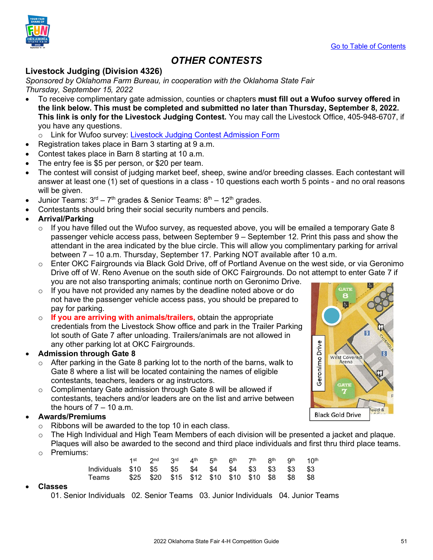

### *OTHER CONTESTS*

### <span id="page-50-1"></span><span id="page-50-0"></span>**Livestock Judging (Division 4326)**

*Sponsored by Oklahoma Farm Bureau, in cooperation with the Oklahoma State Fair Thursday, September 15, 2022* 

• To receive complimentary gate admission, counties or chapters **must fill out a Wufoo survey offered in the link below. This must be completed and submitted no later than Thursday, September 8, 2022. This link is only for the Livestock Judging Contest.** You may call the Livestock Office, 405-948-6707, if you have any questions.

o Link for Wufoo survey: [Livestock Judging Contest Admission Form](https://okstatefair.wufoo.com/forms/zo5o6o904sapfv/)

- Registration takes place in Barn 3 starting at 9 a.m.
- Contest takes place in Barn 8 starting at 10 a.m.
- The entry fee is \$5 per person, or \$20 per team.
- The contest will consist of judging market beef, sheep, swine and/or breeding classes. Each contestant will answer at least one (1) set of questions in a class - 10 questions each worth 5 points - and no oral reasons will be given.
- Junior Teams:  $3<sup>rd</sup> 7<sup>th</sup>$  grades & Senior Teams:  $8<sup>th</sup> 12<sup>th</sup>$  grades.
- Contestants should bring their social security numbers and pencils.
- **Arrival/Parking**
	- $\circ$  If you have filled out the Wufoo survey, as requested above, you will be emailed a temporary Gate 8 passenger vehicle access pass, between September 9 – September 12. Print this pass and show the attendant in the area indicated by the blue circle. This will allow you complimentary parking for arrival between 7 – 10 a.m. Thursday, September 17. Parking NOT available after 10 a.m.
	- $\circ$  Enter OKC Fairgrounds via Black Gold Drive, off of Portland Avenue on the west side, or via Geronimo Drive off of W. Reno Avenue on the south side of OKC Fairgrounds. Do not attempt to enter Gate 7 if you are not also transporting animals; continue north on Geronimo Drive.
	- $\circ$  If you have not provided any names by the deadline noted above or do not have the passenger vehicle access pass, you should be prepared to pay for parking.
	- o **If you are arriving with animals/trailers,** obtain the appropriate credentials from the Livestock Show office and park in the Trailer Parking lot south of Gate 7 after unloading. Trailers/animals are not allowed in any other parking lot at OKC Fairgrounds.
- **Admission through Gate 8**
	- $\circ$  After parking in the Gate 8 parking lot to the north of the barns, walk to Gate 8 where a list will be located containing the names of eligible contestants, teachers, leaders or ag instructors.
	- $\circ$  Complimentary Gate admission through Gate 8 will be allowed if contestants, teachers and/or leaders are on the list and arrive between the hours of  $7 - 10$  a.m.

### • **Awards/Premiums**

- o Ribbons will be awarded to the top 10 in each class.
- $\circ$  The High Individual and High Team Members of each division will be presented a jacket and plaque.
- Plaques will also be awarded to the second and third place individuals and first thru third place teams. o Premiums:

|                                                      | 1st 2nd 3rd 4th 5th 6th 7th 8th 9th 10th |  |  |  |  |
|------------------------------------------------------|------------------------------------------|--|--|--|--|
| Individuals \$10 \$5 \$5 \$4 \$4 \$4 \$3 \$3 \$3 \$3 |                                          |  |  |  |  |
| Teams \$25 \$20 \$15 \$12 \$10 \$10 \$10 \$8 \$8 \$8 |                                          |  |  |  |  |

### • **Classes**

01. Senior Individuals 02. Senior Teams 03. Junior Individuals 04. Junior Teams

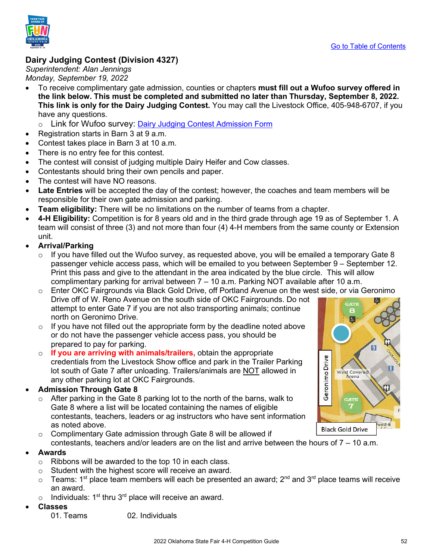



### <span id="page-51-0"></span>**Dairy Judging Contest (Division 4327)**

*Superintendent: Alan Jennings Monday, September 19, 2022* 

• To receive complimentary gate admission, counties or chapters **must fill out a Wufoo survey offered in the link below. This must be completed and submitted no later than Thursday, September 8, 2022. This link is only for the Dairy Judging Contest.** You may call the Livestock Office, 405-948-6707, if you have any questions.

o Link for Wufoo survey: [Dairy Judging Contest Admission Form](https://okstatefair.wufoo.com/forms/z1r7gzbj0vvqbnk/)

- Registration starts in Barn 3 at 9 a.m.
- Contest takes place in Barn 3 at 10 a.m.
- There is no entry fee for this contest.
- The contest will consist of judging multiple Dairy Heifer and Cow classes.
- Contestants should bring their own pencils and paper.
- The contest will have NO reasons.
- **Late Entries** will be accepted the day of the contest; however, the coaches and team members will be responsible for their own gate admission and parking.
- **Team eligibility:** There will be no limitations on the number of teams from a chapter.
- **4-H Eligibility:** Competition is for 8 years old and in the third grade through age 19 as of September 1. A team will consist of three (3) and not more than four (4) 4-H members from the same county or Extension unit.
- **Arrival/Parking**
	- $\circ$  If you have filled out the Wufoo survey, as requested above, you will be emailed a temporary Gate 8 passenger vehicle access pass, which will be emailed to you between September 9 – September 12. Print this pass and give to the attendant in the area indicated by the blue circle. This will allow complimentary parking for arrival between  $7 - 10$  a.m. Parking NOT available after 10 a.m.
	- $\circ$  Enter OKC Fairgrounds via Black Gold Drive, off Portland Avenue on the west side, or via Geronimo Drive off of W. Reno Avenue on the south side of OKC Fairgrounds. Do not attempt to enter Gate 7 if you are not also transporting animals; continue north on Geronimo Drive.
	- $\circ$  If you have not filled out the appropriate form by the deadline noted above or do not have the passenger vehicle access pass, you should be prepared to pay for parking.
	- o **If you are arriving with animals/trailers,** obtain the appropriate credentials from the Livestock Show office and park in the Trailer Parking lot south of Gate 7 after unloading. Trailers/animals are NOT allowed in any other parking lot at OKC Fairgrounds.

### • **Admission Through Gate 8**

- $\circ$  After parking in the Gate 8 parking lot to the north of the barns, walk to Gate 8 where a list will be located containing the names of eligible contestants, teachers, leaders or ag instructors who have sent information as noted above.
- $\circ$  Complimentary Gate admission through Gate 8 will be allowed if
- contestants, teachers and/or leaders are on the list and arrive between the hours of  $7 10$  a.m.

### • **Awards**

- $\circ$  Ribbons will be awarded to the top 10 in each class.
- o Student with the highest score will receive an award.
- $\circ$  Teams: 1<sup>st</sup> place team members will each be presented an award; 2<sup>nd</sup> and 3<sup>rd</sup> place teams will receive an award.
- $\circ$  Individuals: 1<sup>st</sup> thru 3<sup>rd</sup> place will receive an award.
- **Classes**

01. Teams 02. Individuals